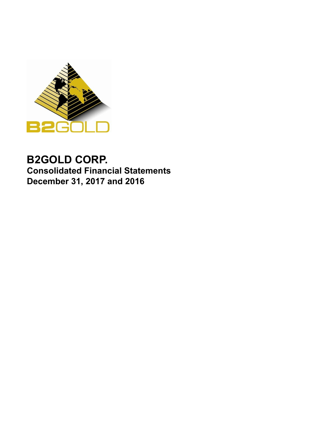

# **B2GOLD CORP. Consolidated Financial Statements December 31, 2017 and 2016**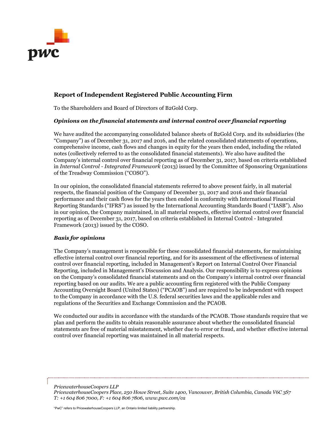

## **Report of Independent Registered Public Accounting Firm**

To the Shareholders and Board of Directors of B2Gold Corp.

## *Opinions on the financial statements and internal control over financial reporting*

We have audited the accompanying consolidated balance sheets of B2Gold Corp. and its subsidiaries (the "Company") as of December 31, 2017 and 2016, and the related consolidated statements of operations, comprehensive income, cash flows and changes in equity for the years then ended, including the related notes (collectively referred to as the consolidated financial statements). We also have audited the Company's internal control over financial reporting as of December 31, 2017, based on criteria established in *Internal Control - Integrated Framework* (2013) issued by the Committee of Sponsoring Organizations of the Treadway Commission ("COSO").

In our opinion, the consolidated financial statements referred to above present fairly, in all material respects, the financial position of the Company of December 31, 2017 and 2016 and their financial performance and their cash flows for the years then ended in conformity with International Financial Reporting Standards ("IFRS") as issued by the International Accounting Standards Board ("IASB"). Also in our opinion, the Company maintained, in all material respects, effective internal control over financial reporting as of December 31, 2017, based on criteria established in Internal Control - Integrated Framework (2013) issued by the COSO.

## *Basis for opinions*

The Company's management is responsible for these consolidated financial statements, for maintaining effective internal control over financial reporting, and for its assessment of the effectiveness of internal control over financial reporting, included in Management's Report on Internal Control Over Financial Reporting, included in Management's Discussion and Analysis. Our responsibility is to express opinions on the Company's consolidated financial statements and on the Company's internal control over financial reporting based on our audits. We are a public accounting firm registered with the Public Company Accounting Oversight Board (United States) ("PCAOB") and are required to be independent with respect to the Company in accordance with the U.S. federal securities laws and the applicable rules and regulations of the Securities and Exchange Commission and the PCAOB.

We conducted our audits in accordance with the standards of the PCAOB. Those standards require that we plan and perform the audits to obtain reasonable assurance about whether the consolidated financial statements are free of material misstatement, whether due to error or fraud, and whether effective internal control over financial reporting was maintained in all material respects.

*PricewaterhouseCoopers LLP*

*PricewaterhouseCoopers Place, 250 Howe Street, Suite 1400, Vancouver, British Columbia, Canada V6C 3S7 T: +1 604 806 7000, F: +1 604 806 7806, [www.pwc.com/ca](http://www.pwc.com/ca)*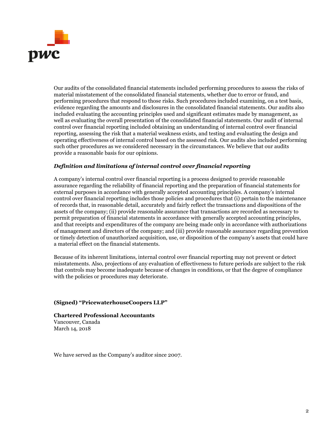

Our audits of the consolidated financial statements included performing procedures to assess the risks of material misstatement of the consolidated financial statements, whether due to error or fraud, and performing procedures that respond to those risks. Such procedures included examining, on a test basis, evidence regarding the amounts and disclosures in the consolidated financial statements. Our audits also included evaluating the accounting principles used and significant estimates made by management, as well as evaluating the overall presentation of the consolidated financial statements. Our audit of internal control over financial reporting included obtaining an understanding of internal control over financial reporting, assessing the risk that a material weakness exists, and testing and evaluating the design and operating effectiveness of internal control based on the assessed risk. Our audits also included performing such other procedures as we considered necessary in the circumstances. We believe that our audits provide a reasonable basis for our opinions.

## *Definition and limitations of internal control over financial reporting*

A company's internal control over financial reporting is a process designed to provide reasonable assurance regarding the reliability of financial reporting and the preparation of financial statements for external purposes in accordance with generally accepted accounting principles. A company's internal control over financial reporting includes those policies and procedures that (i) pertain to the maintenance of records that, in reasonable detail, accurately and fairly reflect the transactions and dispositions of the assets of the company; (ii) provide reasonable assurance that transactions are recorded as necessary to permit preparation of financial statements in accordance with generally accepted accounting principles, and that receipts and expenditures of the company are being made only in accordance with authorizations of management and directors of the company; and (iii) provide reasonable assurance regarding prevention or timely detection of unauthorized acquisition, use, or disposition of the company's assets that could have a material effect on the financial statements.

Because of its inherent limitations, internal control over financial reporting may not prevent or detect misstatements. Also, projections of any evaluation of effectiveness to future periods are subject to the risk that controls may become inadequate because of changes in conditions, or that the degree of compliance with the policies or procedures may deteriorate.

## **(Signed) "PricewaterhouseCoopers LLP"**

**Chartered Professional Accountants** Vancouver, Canada March 14, 2018

We have served as the Company's auditor since 2007.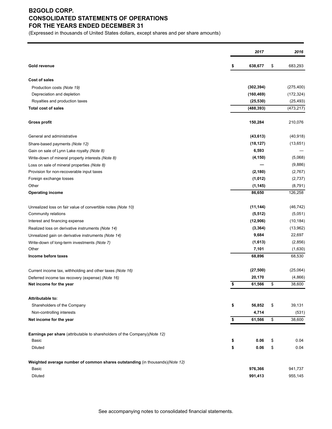## **B2GOLD CORP. CONSOLIDATED STATEMENTS OF OPERATIONS FOR THE YEARS ENDED DECEMBER 31**

(Expressed in thousands of United States dollars, except shares and per share amounts)

|                                                                               | 2017          | 2016          |
|-------------------------------------------------------------------------------|---------------|---------------|
| Gold revenue                                                                  | \$<br>638,677 | \$<br>683,293 |
| Cost of sales                                                                 |               |               |
| Production costs (Note 19)                                                    | (302, 394)    | (275, 400)    |
| Depreciation and depletion                                                    | (160, 469)    | (172, 324)    |
| Royalties and production taxes                                                | (25, 530)     | (25, 493)     |
| <b>Total cost of sales</b>                                                    | (488, 393)    | (473, 217)    |
| <b>Gross profit</b>                                                           | 150,284       | 210,076       |
| General and administrative                                                    | (43, 613)     | (40, 918)     |
| Share-based payments (Note 12)                                                | (18, 127)     | (13,651)      |
| Gain on sale of Lynn Lake royalty (Note 8)                                    | 6,593         |               |
| Write-down of mineral property interests (Note 8)                             | (4, 150)      | (5,068)       |
| Loss on sale of mineral properties (Note 8)                                   |               | (9,886)       |
| Provision for non-recoverable input taxes                                     | (2, 180)      | (2,767)       |
| Foreign exchange losses                                                       | (1,012)       | (2,737)       |
| Other                                                                         | (1, 145)      | (8,791)       |
| <b>Operating income</b>                                                       | 86,650        | 126,258       |
| Unrealized loss on fair value of convertible notes (Note 10)                  | (11, 144)     | (46, 742)     |
| Community relations                                                           | (5, 512)      | (5,051)       |
| Interest and financing expense                                                | (12,906)      | (10, 184)     |
| Realized loss on derivative instruments (Note 14)                             | (3, 364)      | (13, 962)     |
| Unrealized gain on derivative instruments (Note 14)                           | 9,684         | 22,697        |
| Write-down of long-term investments (Note 7)                                  | (1,613)       | (2,856)       |
| Other                                                                         | 7,101         | (1,630)       |
| Income before taxes                                                           | 68,896        | 68,530        |
| Current income tax, withholding and other taxes (Note 16)                     | (27, 500)     | (25,064)      |
| Deferred income tax recovery (expense) (Note 16)                              | 20,170        | (4,866)       |
| Net income for the year                                                       | \$<br>61,566  | \$<br>38,600  |
| Attributable to:                                                              |               |               |
| Shareholders of the Company                                                   | \$<br>56,852  | \$<br>39,131  |
| Non-controlling interests                                                     | 4,714         | (531)         |
| Net income for the year                                                       | \$<br>61,566  | \$<br>38,600  |
| Earnings per share (attributable to shareholders of the Company) (Note 12)    |               |               |
| Basic                                                                         | \$<br>0.06    | \$<br>0.04    |
| Diluted                                                                       | \$<br>0.06    | \$<br>0.04    |
| Weighted average number of common shares outstanding (in thousands) (Note 12) |               |               |
| Basic                                                                         | 976,366       | 941,737       |
| Diluted                                                                       | 991,413       | 955,145       |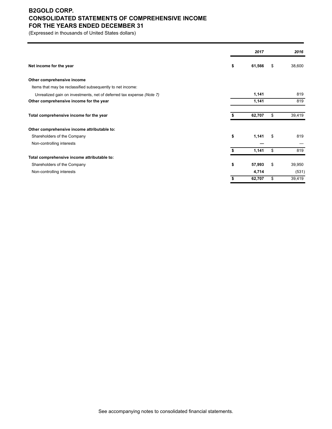## **B2GOLD CORP. CONSOLIDATED STATEMENTS OF COMPREHENSIVE INCOME FOR THE YEARS ENDED DECEMBER 31**

(Expressed in thousands of United States dollars)

|                                                                      |    | 2017   | 2016         |
|----------------------------------------------------------------------|----|--------|--------------|
| Net income for the year                                              | \$ | 61,566 | \$<br>38,600 |
| Other comprehensive income                                           |    |        |              |
| Items that may be reclassified subsequently to net income:           |    |        |              |
| Unrealized gain on investments, net of deferred tax expense (Note 7) |    | 1,141  | 819          |
| Other comprehensive income for the year                              |    | 1,141  | 819          |
| Total comprehensive income for the year                              | S  | 62,707 | \$<br>39,419 |
| Other comprehensive income attributable to:                          |    |        |              |
| Shareholders of the Company                                          | \$ | 1,141  | \$<br>819    |
| Non-controlling interests                                            |    |        |              |
|                                                                      |    | 1,141  | \$<br>819    |
| Total comprehensive income attributable to:                          |    |        |              |
| Shareholders of the Company                                          | \$ | 57,993 | \$<br>39,950 |
| Non-controlling interests                                            |    | 4,714  | (531)        |
|                                                                      | \$ | 62,707 | \$<br>39,419 |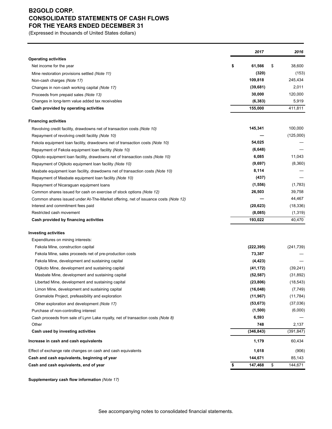## **B2GOLD CORP. CONSOLIDATED STATEMENTS OF CASH FLOWS FOR THE YEARS ENDED DECEMBER 31**

(Expressed in thousands of United States dollars)

|                                                                                    | 2017          | 2016          |
|------------------------------------------------------------------------------------|---------------|---------------|
| <b>Operating activities</b>                                                        |               |               |
| Net income for the year                                                            | \$<br>61,566  | \$<br>38,600  |
| Mine restoration provisions settled (Note 11)                                      | (320)         | (153)         |
| Non-cash charges (Note 17)                                                         | 109,818       | 245,434       |
| Changes in non-cash working capital (Note 17)                                      | (39, 681)     | 2,011         |
| Proceeds from prepaid sales (Note 13)                                              | 30,000        | 120,000       |
| Changes in long-term value added tax receivables                                   | (6, 383)      | 5,919         |
| Cash provided by operating activities                                              | 155,000       | 411,811       |
| Financing activities                                                               |               |               |
| Revolving credit facility, drawdowns net of transaction costs (Note 10)            | 145,341       | 100,000       |
| Repayment of revolving credit facility (Note 10)                                   |               | (125,000)     |
| Fekola equipment loan facility, drawdowns net of transaction costs (Note 10)       | 54,025        |               |
| Repayment of Fekola equipment loan facility (Note 10)                              | (6, 648)      |               |
| Otjikoto equipment loan facility, drawdowns net of transaction costs (Note 10)     | 6,085         | 11,043        |
| Repayment of Otjikoto equipment loan facility (Note 10)                            | (9,697)       | (8,360)       |
| Masbate equipment loan facility, drawdowns net of transaction costs (Note 10)      | 8,114         |               |
| Repayment of Masbate equipment loan facility (Note 10)                             | (437)         |               |
| Repayment of Nicaraguan equipment loans                                            | (1, 556)      | (1,783)       |
| Common shares issued for cash on exercise of stock options (Note 12)               | 26,503        | 39,758        |
| Common shares issued under At-The-Market offering, net of issuance costs (Note 12) |               | 44,467        |
| Interest and commitment fees paid                                                  | (20, 623)     | (18, 336)     |
| Restricted cash movement                                                           | (8,085)       | (1, 319)      |
| Cash provided by financing activities                                              | 193,022       | 40,470        |
| <b>Investing activities</b>                                                        |               |               |
| Expenditures on mining interests:                                                  |               |               |
| Fekola Mine, construction capital                                                  | (222, 395)    | (241, 739)    |
| Fekola Mine, sales proceeds net of pre-production costs                            | 73,387        |               |
| Fekola Mine, development and sustaining capital                                    | (4, 423)      |               |
| Otjikoto Mine, development and sustaining capital                                  | (41, 172)     | (39, 241)     |
| Masbate Mine, development and sustaining capital                                   | (52, 587)     | (31, 892)     |
| Libertad Mine, development and sustaining capital                                  | (23, 806)     | (18,543)      |
| Limon Mine, development and sustaining capital                                     | (16, 048)     | (7, 749)      |
| Gramalote Project, prefeasibility and exploration                                  | (11, 967)     | (11,784)      |
| Other exploration and development (Note 17)                                        | (53, 673)     | (37,036)      |
| Purchase of non-controlling interest                                               | (1,500)       | (6,000)       |
| Cash proceeds from sale of Lynn Lake royalty, net of transaction costs (Note 8)    | 6,593         |               |
| Other                                                                              | 748           | 2,137         |
| Cash used by investing activities                                                  | (346, 843)    | (391, 847)    |
| Increase in cash and cash equivalents                                              | 1,179         | 60,434        |
| Effect of exchange rate changes on cash and cash equivalents                       | 1,618         | (906)         |
| Cash and cash equivalents, beginning of year                                       | 144,671       | 85,143        |
| Cash and cash equivalents, end of year                                             | \$<br>147,468 | \$<br>144,671 |

**Supplementary cash flow information** *(Note 17)*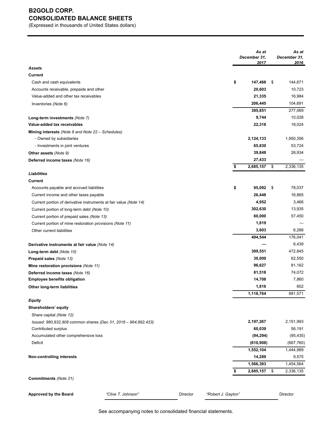## **B2GOLD CORP. CONSOLIDATED BALANCE SHEETS**

(Expressed in thousands of United States dollars)

|                                                                   |                    |          |                    | As at<br>December 31,<br>2017 |      | As at<br>December 31,<br>2016 |
|-------------------------------------------------------------------|--------------------|----------|--------------------|-------------------------------|------|-------------------------------|
| <b>Assets</b>                                                     |                    |          |                    |                               |      |                               |
| Current                                                           |                    |          |                    |                               |      |                               |
| Cash and cash equivalents                                         |                    |          | \$                 | 147,468                       | \$   | 144,671                       |
| Accounts receivable, prepaids and other                           |                    |          |                    | 20,603                        |      | 10,723                        |
| Value-added and other tax receivables                             |                    |          |                    | 21,335                        |      | 16,984                        |
| Inventories (Note 6)                                              |                    |          |                    | 206,445                       |      | 104,691                       |
|                                                                   |                    |          |                    | 395,851                       |      | 277,069                       |
| Long-term investments (Note 7)                                    |                    |          |                    | 9,744                         |      | 10,028                        |
| Value-added tax receivables                                       |                    |          |                    | 22,318                        |      | 18,024                        |
| Mining interests (Note 8 and Note 22 – Schedules)                 |                    |          |                    |                               |      |                               |
| - Owned by subsidiaries                                           |                    |          |                    | 2,124,133                     |      | 1,950,356                     |
| - Investments in joint ventures                                   |                    |          |                    | 65,830                        |      | 53,724                        |
| Other assets (Note 9)                                             |                    |          |                    | 39,848                        |      | 26,934                        |
| Deferred income taxes (Note 16)                                   |                    |          |                    | 27,433                        |      |                               |
|                                                                   |                    |          | \$                 | 2,685,157 \$                  |      | 2,336,135                     |
| Liabilities                                                       |                    |          |                    |                               |      |                               |
| Current                                                           |                    |          |                    |                               |      |                               |
| Accounts payable and accrued liabilities                          |                    |          | \$                 | 95.092                        | - \$ | 78,037                        |
| Current income and other taxes payable                            |                    |          |                    | 26,448                        |      | 16,865                        |
| Current portion of derivative instruments at fair value (Note 14) |                    |          |                    | 4,952                         |      | 3,466                         |
| Current portion of long-term debt (Note 10)                       |                    |          |                    | 302,630                       |      | 13,935                        |
| Current portion of prepaid sales (Note 13)                        |                    |          |                    | 60,000                        |      | 57,450                        |
| Current portion of mine restoration provisions (Note 11)          |                    |          |                    | 1,819                         |      |                               |
| Other current liabilities                                         |                    |          |                    | 3,603                         |      | 6,288                         |
|                                                                   |                    |          |                    | 494,544                       |      | 176,041                       |
| Derivative instruments at fair value (Note 14)                    |                    |          |                    |                               |      | 6,439                         |
| Long-term debt (Note 10)                                          |                    |          |                    | 399,551                       |      | 472,845                       |
| Prepaid sales (Note 13)                                           |                    |          |                    | 30,000                        |      | 62,550                        |
| Mine restoration provisions (Note 11)                             |                    |          |                    | 96,627                        |      | 81,162                        |
| Deferred income taxes (Note 16)                                   |                    |          |                    | 81,518                        |      | 74,072                        |
| <b>Employee benefits obligation</b>                               |                    |          |                    | 14,708                        |      | 7,860                         |
| Other long-term liabilities                                       |                    |          |                    | 1,816                         |      | 602                           |
|                                                                   |                    |          |                    | 1,118,764                     |      | 881,571                       |
| <b>Equity</b>                                                     |                    |          |                    |                               |      |                               |
| Shareholders' equity                                              |                    |          |                    |                               |      |                               |
| Share capital (Note 12)                                           |                    |          |                    |                               |      |                               |
| Issued: 980,932,908 common shares (Dec 31, 2016 - 964,892,433)    |                    |          |                    | 2,197,267                     |      | 2,151,993                     |
| Contributed surplus                                               |                    |          |                    | 60,039                        |      | 56,191                        |
| Accumulated other comprehensive loss                              |                    |          |                    | (94, 294)                     |      | (95, 435)                     |
| Deficit                                                           |                    |          |                    | (610, 908)                    |      | (667, 760)                    |
|                                                                   |                    |          |                    | 1,552,104                     |      | 1,444,989                     |
| Non-controlling interests                                         |                    |          |                    | 14,289                        |      | 9,575                         |
|                                                                   |                    |          |                    | 1,566,393                     |      | 1,454,564                     |
|                                                                   |                    |          | \$                 | 2,685,157 \$                  |      | 2,336,135                     |
| Commitments (Note 21)<br>Approved by the Board                    | "Clive T. Johnson" | Director | "Robert J. Gayton" |                               |      | Director                      |

See accompanying notes to consolidated financial statements.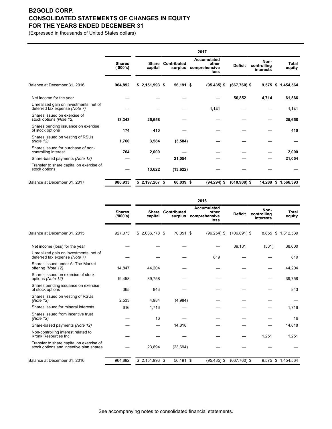## **B2GOLD CORP. CONSOLIDATED STATEMENTS OF CHANGES IN EQUITY FOR THE YEARS ENDED DECEMBER 31**

(Expressed in thousands of United States dollars)

|                                                                         |                           | 2017                    |                        |                                               |                |                                  |                 |
|-------------------------------------------------------------------------|---------------------------|-------------------------|------------------------|-----------------------------------------------|----------------|----------------------------------|-----------------|
|                                                                         | <b>Shares</b><br>('000's) | <b>Share</b><br>capital | Contributed<br>surplus | Accumulated<br>other<br>comprehensive<br>loss | <b>Deficit</b> | Non-<br>controlling<br>interests | Total<br>equity |
| Balance at December 31, 2016                                            | 964,892                   | $$2,151,993$ \$         | 56,191 \$              | $(95, 435)$ \$                                | $(667,760)$ \$ | 9,575                            | \$1,454,564     |
| Net income for the year                                                 |                           |                         |                        |                                               | 56,852         | 4,714                            | 61,566          |
| Unrealized gain on investments, net of<br>deferred tax expense (Note 7) |                           |                         |                        | 1,141                                         |                |                                  | 1,141           |
| Shares issued on exercise of<br>stock options (Note 12)                 | 13,343                    | 25,658                  |                        |                                               |                |                                  | 25,658          |
| Shares pending issuance on exercise<br>of stock options                 | 174                       | 410                     |                        |                                               |                |                                  | 410             |
| Shares issued on vesting of RSUs<br>(Note 12)                           | 1,760                     | 3,584                   | (3,584)                |                                               |                |                                  |                 |
| Shares issued for purchase of non-<br>controlling interest              | 764                       | 2,000                   |                        |                                               |                |                                  | 2,000           |
| Share-based payments (Note 12)                                          |                           |                         | 21,054                 |                                               |                |                                  | 21,054          |
| Transfer to share capital on exercise of<br>stock options               |                           | 13,622                  | (13, 622)              |                                               |                |                                  |                 |
| Balance at December 31, 2017                                            | 980,933                   | $$2,197,267$ \$         | 60,039 \$              | $(94, 294)$ \$                                | $(610,908)$ \$ | 14,289                           | \$1,566,393     |

|                                                                                     |                           | 2016                    |                        |                                               |                 |                                  |                    |
|-------------------------------------------------------------------------------------|---------------------------|-------------------------|------------------------|-----------------------------------------------|-----------------|----------------------------------|--------------------|
|                                                                                     | <b>Shares</b><br>('000's) | <b>Share</b><br>capital | Contributed<br>surplus | Accumulated<br>other<br>comprehensive<br>loss | <b>Deficit</b>  | Non-<br>controlling<br>interests | Total<br>equity    |
| Balance at December 31, 2015                                                        | 927,073                   | $$2,036,778$ \$         | 70,051 \$              | $(96, 254)$ \$                                | $(706, 891)$ \$ |                                  | 8,855 \$ 1,312,539 |
| Net income (loss) for the year                                                      |                           |                         |                        |                                               | 39,131          | (531)                            | 38,600             |
| Unrealized gain on investments, net of<br>deferred tax expense (Note 7)             |                           |                         |                        | 819                                           |                 |                                  | 819                |
| Shares issued under At-The-Market<br>offering (Note 12)                             | 14,847                    | 44,204                  |                        |                                               |                 |                                  | 44,204             |
| Shares issued on exercise of stock<br>options (Note 12)                             | 19,458                    | 39,758                  |                        |                                               |                 |                                  | 39,758             |
| Shares pending issuance on exercise<br>of stock options                             | 365                       | 843                     |                        |                                               |                 |                                  | 843                |
| Shares issued on vesting of RSUs<br>(Note 12)                                       | 2,533                     | 4,984                   | (4,984)                |                                               |                 |                                  |                    |
| Shares issued for mineral interests                                                 | 616                       | 1,716                   |                        |                                               |                 |                                  | 1,716              |
| Shares issued from incentive trust<br>(Note 12)                                     |                           | 16                      |                        |                                               |                 |                                  | 16                 |
| Share-based payments (Note 12)                                                      |                           |                         | 14,818                 |                                               |                 |                                  | 14,818             |
| Non-controlling interest related to<br>Kronk Resources Inc.                         |                           |                         |                        |                                               |                 | 1,251                            | 1,251              |
| Transfer to share capital on exercise of<br>stock options and incentive plan shares |                           | 23,694                  | (23, 694)              |                                               |                 |                                  |                    |
| Balance at December 31, 2016                                                        | 964,892                   | $$2,151,993$ \$         | 56,191 \$              | $(95, 435)$ \$                                | $(667,760)$ \$  |                                  | 9,575 \$ 1,454,564 |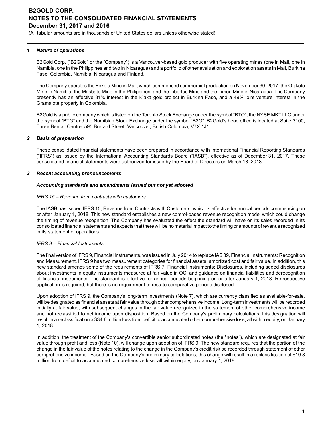## *1 Nature of operations*

B2Gold Corp. ("B2Gold" or the "Company") is a Vancouver-based gold producer with five operating mines (one in Mali, one in Namibia, one in the Philippines and two in Nicaragua) and a portfolio of other evaluation and exploration assets in Mali, Burkina Faso, Colombia, Namibia, Nicaragua and Finland.

The Company operates the Fekola Mine in Mali, which commenced commercial production on November 30, 2017, the Otjikoto Mine in Namibia, the Masbate Mine in the Philippines, and the Libertad Mine and the Limon Mine in Nicaragua. The Company presently has an effective 81% interest in the Kiaka gold project in Burkina Faso, and a 49% joint venture interest in the Gramalote property in Colombia.

B2Gold is a public company which is listed on the Toronto Stock Exchange under the symbol "BTO", the NYSE MKT LLC under the symbol "BTG" and the Namibian Stock Exchange under the symbol "B2G". B2Gold's head office is located at Suite 3100, Three Bentall Centre, 595 Burrard Street, Vancouver, British Columbia, V7X 1J1.

## *2 Basis of preparation*

These consolidated financial statements have been prepared in accordance with International Financial Reporting Standards ("IFRS") as issued by the International Accounting Standards Board ("IASB"), effective as of December 31, 2017. These consolidated financial statements were authorized for issue by the Board of Directors on March 13, 2018.

## *3 Recent accounting pronouncements*

## *Accounting standards and amendments issued but not yet adopted*

## *IFRS 15 – Revenue from contracts with customers*

The IASB has issued IFRS 15, Revenue from Contracts with Customers, which is effective for annual periods commencing on or after January 1, 2018. This new standard establishes a new control-based revenue recognition model which could change the timing of revenue recognition. The Company has evaluated the effect the standard will have on its sales recorded in its consolidated financial statements and expects that there will be no material impact to the timing or amounts of revenue recognized in its statement of operations.

## *IFRS 9 – Financial Instruments*

The final version of IFRS 9, Financial Instruments, was issued in July 2014 to replace IAS 39, Financial Instruments: Recognition and Measurement. IFRS 9 has two measurement categories for financial assets: amortized cost and fair value. In addition, this new standard amends some of the requirements of IFRS 7, Financial Instruments: Disclosures, including added disclosures about investments in equity instruments measured at fair value in OCI and guidance on financial liabilities and derecognition of financial instruments. The standard is effective for annual periods beginning on or after January 1, 2018. Retrospective application is required, but there is no requirement to restate comparative periods disclosed.

Upon adoption of IFRS 9, the Company's long-term investments (Note 7), which are currently classified as available-for-sale, will be designated as financial assets at fair value through other comprehensive income. Long-term investments will be recorded initially at fair value, with subsequent changes in the fair value recognized in the statement of other comprehensive income and not reclassified to net income upon disposition. Based on the Company's preliminary calculations, this designation will result in a reclassification a \$34.6 million loss from deficit to accumulated other comprehensive loss, all within equity, on January 1, 2018.

In addition, the treatment of the Company's convertible senior subordinated notes (the "notes"), which are designated at fair value through profit and loss (Note 10), will change upon adoption of IFRS 9. The new standard requires that the portion of the change in the fair value of the notes relating to the change in the Company's credit risk be recorded through statement of other comprehensive income. Based on the Company's preliminary calculations, this change will result in a reclassification of \$10.8 million from deficit to accumulated comprehensive loss, all within equity, on January 1, 2018.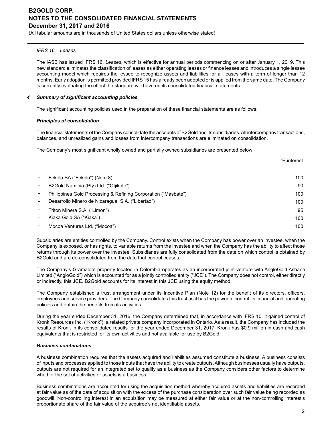(All tabular amounts are in thousands of United States dollars unless otherwise stated)

## *IFRS 16 – Leases*

The IASB has issued IFRS 16, *Leases*, which is effective for annual periods commencing on or after January 1, 2019. This new standard eliminates the classification of leases as either operating leases or finance leases and introduces a single lessee accounting model which requires the lessee to recognize assets and liabilities for all leases with a term of longer than 12 months. Early adoption is permitted provided IFRS 15 has already been adopted or is applied from the same date. The Company is currently evaluating the effect the standard will have on its consolidated financial statements.

## *4 Summary of significant accounting policies*

The significant accounting policies used in the preparation of these financial statements are as follows:

## *Principles of consolidation*

The financial statements of the Company consolidate the accounts of B2Gold and its subsidiaries. All intercompany transactions, balances, and unrealized gains and losses from intercompany transactions are eliminated on consolidation.

The Company's most significant wholly owned and partially owned subsidiaries are presented below:

|                          |                                                                | % interest |
|--------------------------|----------------------------------------------------------------|------------|
| -                        | Fekola SA ("Fekola") (Note 8)                                  | 100        |
| $\blacksquare$           | B2Gold Namibia (Pty) Ltd. ("Otjikoto")                         | 90         |
| $\overline{\phantom{a}}$ | Philippines Gold Processing & Refining Corporation ("Masbate") | 100        |
| $\overline{\phantom{a}}$ | Desarrollo Minero de Nicaragua, S.A. ("Libertad")              | 100        |
| -                        | Triton Minera S.A. ("Limon")                                   | 95         |
| $\overline{\phantom{a}}$ | Kiaka Gold SA ("Kiaka")                                        | 100        |
|                          | Mocoa Ventures Ltd. ("Mocoa")                                  | 100        |

Subsidiaries are entities controlled by the Company. Control exists when the Company has power over an investee, when the Company is exposed, or has rights, to variable returns from the investee and when the Company has the ability to affect those returns through its power over the investee. Subsidiaries are fully consolidated from the date on which control is obtained by B2Gold and are de-consolidated from the date that control ceases.

The Company's Gramalote property located in Colombia operates as an incorporated joint venture with AngloGold Ashanti Limited ("AngloGold") which is accounted for as a jointly controlled entity ("JCE"). The Company does not control, either directly or indirectly, this JCE. B2Gold accounts for its interest in this JCE using the equity method.

The Company established a trust arrangement under its Incentive Plan (Note 12) for the benefit of its directors, officers, employees and service providers. The Company consolidates this trust as it has the power to control its financial and operating policies and obtain the benefits from its activities.

During the year ended December 31, 2016, the Company determined that, in accordance with IFRS 10, it gained control of Kronk Resources Inc. ("Kronk"), a related private company incorporated in Ontario. As a result, the Company has included the results of Kronk in its consolidated results for the year ended December 31, 2017. Kronk has \$0.9 million in cash and cash equivalents that is restricted for its own activities and not available for use by B2Gold.

## *Business combinations*

A business combination requires that the assets acquired and liabilities assumed constitute a business. A business consists of inputs and processes applied to those inputs that have the ability to create outputs. Although businesses usually have outputs, outputs are not required for an integrated set to qualify as a business as the Company considers other factors to determine whether the set of activities or assets is a business.

Business combinations are accounted for using the acquisition method whereby acquired assets and liabilities are recorded at fair value as of the date of acquisition with the excess of the purchase consideration over such fair value being recorded as goodwill. Non-controlling interest in an acquisition may be measured at either fair value or at the non-controlling interest's proportionate share of the fair value of the acquiree's net identifiable assets.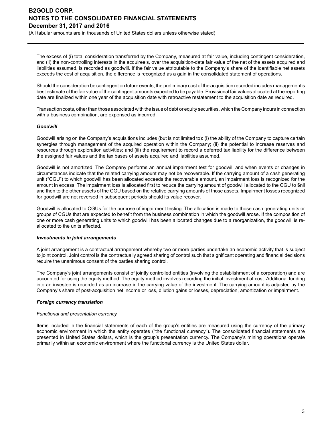(All tabular amounts are in thousands of United States dollars unless otherwise stated)

The excess of (i) total consideration transferred by the Company, measured at fair value, including contingent consideration, and (ii) the non-controlling interests in the acquiree's, over the acquisition-date fair value of the net of the assets acquired and liabilities assumed, is recorded as goodwill. If the fair value attributable to the Company's share of the identifiable net assets exceeds the cost of acquisition, the difference is recognized as a gain in the consolidated statement of operations.

Should the consideration be contingent on future events, the preliminary cost of the acquisition recorded includes management's best estimate of the fair value of the contingent amounts expected to be payable. Provisional fair values allocated at the reporting date are finalized within one year of the acquisition date with retroactive restatement to the acquisition date as required.

Transaction costs, other than those associated with the issue of debt or equity securities, which the Company incurs in connection with a business combination, are expensed as incurred.

## *Goodwill*

Goodwill arising on the Company's acquisitions includes (but is not limited to): (i) the ability of the Company to capture certain synergies through management of the acquired operation within the Company; (ii) the potential to increase reserves and resources through exploration activities; and (iii) the requirement to record a deferred tax liability for the difference between the assigned fair values and the tax bases of assets acquired and liabilities assumed.

Goodwill is not amortized. The Company performs an annual impairment test for goodwill and when events or changes in circumstances indicate that the related carrying amount may not be recoverable. If the carrying amount of a cash generating unit ("CGU") to which goodwill has been allocated exceeds the recoverable amount, an impairment loss is recognized for the amount in excess. The impairment loss is allocated first to reduce the carrying amount of goodwill allocated to the CGU to \$nil and then to the other assets of the CGU based on the relative carrying amounts of those assets. Impairment losses recognized for goodwill are not reversed in subsequent periods should its value recover.

Goodwill is allocated to CGUs for the purpose of impairment testing. The allocation is made to those cash generating units or groups of CGUs that are expected to benefit from the business combination in which the goodwill arose. If the composition of one or more cash generating units to which goodwill has been allocated changes due to a reorganization, the goodwill is reallocated to the units affected.

## *Investments in joint arrangements*

A joint arrangement is a contractual arrangement whereby two or more parties undertake an economic activity that is subject to joint control. Joint control is the contractually agreed sharing of control such that significant operating and financial decisions require the unanimous consent of the parties sharing control.

The Company's joint arrangements consist of jointly controlled entities (involving the establishment of a corporation) and are accounted for using the equity method. The equity method involves recording the initial investment at cost. Additional funding into an investee is recorded as an increase in the carrying value of the investment. The carrying amount is adjusted by the Company's share of post-acquisition net income or loss, dilution gains or losses, depreciation, amortization or impairment.

## *Foreign currency translation*

## *Functional and presentation currency*

Items included in the financial statements of each of the group's entities are measured using the currency of the primary economic environment in which the entity operates ("the functional currency"). The consolidated financial statements are presented in United States dollars, which is the group's presentation currency. The Company's mining operations operate primarily within an economic environment where the functional currency is the United States dollar.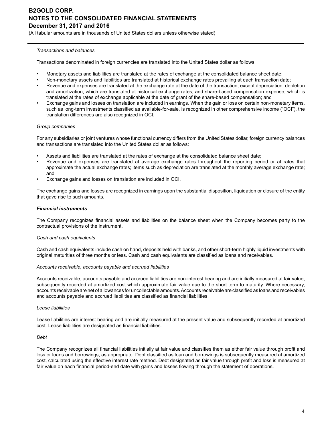(All tabular amounts are in thousands of United States dollars unless otherwise stated)

## *Transactions and balances*

Transactions denominated in foreign currencies are translated into the United States dollar as follows:

- Monetary assets and liabilities are translated at the rates of exchange at the consolidated balance sheet date;
- Non-monetary assets and liabilities are translated at historical exchange rates prevailing at each transaction date;
- Revenue and expenses are translated at the exchange rate at the date of the transaction, except depreciation, depletion and amortization, which are translated at historical exchange rates, and share-based compensation expense, which is translated at the rates of exchange applicable at the date of grant of the share-based compensation; and
- Exchange gains and losses on translation are included in earnings. When the gain or loss on certain non-monetary items, such as long-term investments classified as available-for-sale, is recognized in other comprehensive income ("OCI"), the translation differences are also recognized in OCI.

#### *Group companies*

For any subsidiaries or joint ventures whose functional currency differs from the United States dollar, foreign currency balances and transactions are translated into the United States dollar as follows:

- Assets and liabilities are translated at the rates of exchange at the consolidated balance sheet date;
- Revenue and expenses are translated at average exchange rates throughout the reporting period or at rates that approximate the actual exchange rates; items such as depreciation are translated at the monthly average exchange rate; and
- Exchange gains and losses on translation are included in OCI.

The exchange gains and losses are recognized in earnings upon the substantial disposition, liquidation or closure of the entity that gave rise to such amounts.

## *Financial instruments*

The Company recognizes financial assets and liabilities on the balance sheet when the Company becomes party to the contractual provisions of the instrument.

## *Cash and cash equivalents*

Cash and cash equivalents include cash on hand, deposits held with banks, and other short-term highly liquid investments with original maturities of three months or less. Cash and cash equivalents are classified as loans and receivables.

#### *Accounts receivable, accounts payable and accrued liabilities*

Accounts receivable, accounts payable and accrued liabilities are non-interest bearing and are initially measured at fair value, subsequently recorded at amortized cost which approximate fair value due to the short term to maturity. Where necessary, accounts receivable are net of allowances for uncollectable amounts. Accounts receivable are classified as loans and receivables and accounts payable and accrued liabilities are classified as financial liabilities.

#### *Lease liabilities*

Lease liabilities are interest bearing and are initially measured at the present value and subsequently recorded at amortized cost. Lease liabilities are designated as financial liabilities.

#### *Debt*

The Company recognizes all financial liabilities initially at fair value and classifies them as either fair value through profit and loss or loans and borrowings, as appropriate. Debt classified as loan and borrowings is subsequently measured at amortized cost, calculated using the effective interest rate method. Debt designated as fair value through profit and loss is measured at fair value on each financial period-end date with gains and losses flowing through the statement of operations.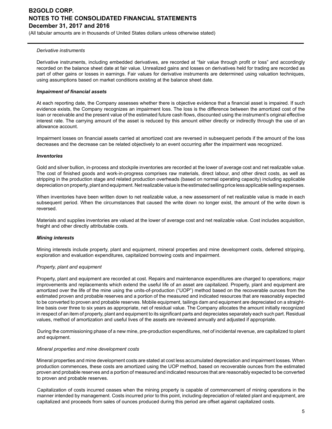(All tabular amounts are in thousands of United States dollars unless otherwise stated)

## *Derivative instruments*

Derivative instruments, including embedded derivatives, are recorded at "fair value through profit or loss" and accordingly recorded on the balance sheet date at fair value. Unrealized gains and losses on derivatives held for trading are recorded as part of other gains or losses in earnings. Fair values for derivative instruments are determined using valuation techniques, using assumptions based on market conditions existing at the balance sheet date.

#### *Impairment of financial assets*

At each reporting date, the Company assesses whether there is objective evidence that a financial asset is impaired. If such evidence exists, the Company recognizes an impairment loss. The loss is the difference between the amortized cost of the loan or receivable and the present value of the estimated future cash flows, discounted using the instrument's original effective interest rate. The carrying amount of the asset is reduced by this amount either directly or indirectly through the use of an allowance account.

Impairment losses on financial assets carried at amortized cost are reversed in subsequent periods if the amount of the loss decreases and the decrease can be related objectively to an event occurring after the impairment was recognized.

#### *Inventories*

Gold and silver bullion, in-process and stockpile inventories are recorded at the lower of average cost and net realizable value. The cost of finished goods and work-in-progress comprises raw materials, direct labour, and other direct costs, as well as stripping in the production stage and related production overheads (based on normal operating capacity) including applicable depreciation on property, plant and equipment. Net realizable value is the estimated selling price less applicable selling expenses.

When inventories have been written down to net realizable value, a new assessment of net realizable value is made in each subsequent period. When the circumstances that caused the write down no longer exist, the amount of the write down is reversed.

Materials and supplies inventories are valued at the lower of average cost and net realizable value. Cost includes acquisition, freight and other directly attributable costs.

## *Mining interests*

Mining interests include property, plant and equipment, mineral properties and mine development costs, deferred stripping, exploration and evaluation expenditures, capitalized borrowing costs and impairment.

## *Property, plant and equipment*

Property, plant and equipment are recorded at cost. Repairs and maintenance expenditures are charged to operations; major improvements and replacements which extend the useful life of an asset are capitalized. Property, plant and equipment are amortized over the life of the mine using the units-of-production ("UOP") method based on the recoverable ounces from the estimated proven and probable reserves and a portion of the measured and indicated resources that are reasonably expected to be converted to proven and probable reserves. Mobile equipment, tailings dam and equipment are depreciated on a straightline basis over three to six years as appropriate, net of residual value. The Company allocates the amount initially recognized in respect of an item of property, plant and equipment to its significant parts and depreciates separately each such part. Residual values, method of amortization and useful lives of the assets are reviewed annually and adjusted if appropriate.

During the commissioning phase of a new mine, pre-production expenditures, net of incidental revenue, are capitalized to plant and equipment.

#### *Mineral properties and mine development costs*

Mineral properties and mine development costs are stated at cost less accumulated depreciation and impairment losses. When production commences, these costs are amortized using the UOP method, based on recoverable ounces from the estimated proven and probable reserves and a portion of measured and indicated resources that are reasonably expected to be converted to proven and probable reserves.

Capitalization of costs incurred ceases when the mining property is capable of commencement of mining operations in the manner intended by management. Costs incurred prior to this point, including depreciation of related plant and equipment, are capitalized and proceeds from sales of ounces produced during this period are offset against capitalized costs.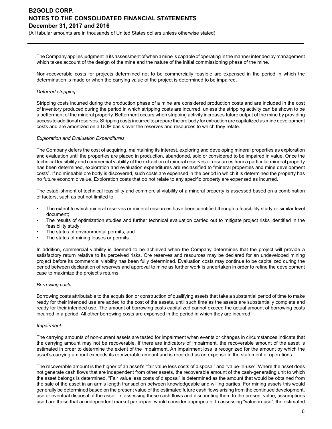(All tabular amounts are in thousands of United States dollars unless otherwise stated)

The Company applies judgment in its assessment of when a mine is capable of operating in the manner intended by management which takes account of the design of the mine and the nature of the initial commissioning phase of the mine.

Non-recoverable costs for projects determined not to be commercially feasible are expensed in the period in which the determination is made or when the carrying value of the project is determined to be impaired.

## *Deferred stripping*

Stripping costs incurred during the production phase of a mine are considered production costs and are included in the cost of inventory produced during the period in which stripping costs are incurred, unless the stripping activity can be shown to be a betterment of the mineral property. Betterment occurs when stripping activity increases future output of the mine by providing access to additional reserves. Stripping costs incurred to prepare the ore body for extraction are capitalized as mine development costs and are amortized on a UOP basis over the reserves and resources to which they relate.

## *Exploration and Evaluation Expenditures*

The Company defers the cost of acquiring, maintaining its interest, exploring and developing mineral properties as exploration and evaluation until the properties are placed in production, abandoned, sold or considered to be impaired in value. Once the technical feasibility and commercial viability of the extraction of mineral reserves or resources from a particular mineral property has been determined, exploration and evaluation expenditures are reclassified to "mineral properties and mine development costs". If no mineable ore body is discovered, such costs are expensed in the period in which it is determined the property has no future economic value. Exploration costs that do not relate to any specific property are expensed as incurred.

The establishment of technical feasibility and commercial viability of a mineral property is assessed based on a combination of factors, such as but not limited to:

- The extent to which mineral reserves or mineral resources have been identified through a feasibility study or similar level document;
- The results of optimization studies and further technical evaluation carried out to mitigate project risks identified in the feasibility study;
- The status of environmental permits; and
- The status of mining leases or permits.

In addition, commercial viability is deemed to be achieved when the Company determines that the project will provide a satisfactory return relative to its perceived risks. Ore reserves and resources may be declared for an undeveloped mining project before its commercial viability has been fully determined. Evaluation costs may continue to be capitalized during the period between declaration of reserves and approval to mine as further work is undertaken in order to refine the development case to maximize the project's returns.

## *Borrowing costs*

Borrowing costs attributable to the acquisition or construction of qualifying assets that take a substantial period of time to make ready for their intended use are added to the cost of the assets, until such time as the assets are substantially complete and ready for their intended use. The amount of borrowing costs capitalized cannot exceed the actual amount of borrowing costs incurred in a period. All other borrowing costs are expensed in the period in which they are incurred.

## *Impairment*

The carrying amounts of non-current assets are tested for impairment when events or changes in circumstances indicate that the carrying amount may not be recoverable. If there are indicators of impairment, the recoverable amount of the asset is estimated in order to determine the extent of the impairment. An impairment loss is recognized for the amount by which the asset's carrying amount exceeds its recoverable amount and is recorded as an expense in the statement of operations.

The recoverable amount is the higher of an asset's "fair value less costs of disposal" and "value-in-use". Where the asset does not generate cash flows that are independent from other assets, the recoverable amount of the cash-generating unit to which the asset belongs is determined. "Fair value less costs of disposal" is determined as the amount that would be obtained from the sale of the asset in an arm's length transaction between knowledgeable and willing parties. For mining assets this would generally be determined based on the present value of the estimated future cash flows arising from the continued development, use or eventual disposal of the asset. In assessing these cash flows and discounting them to the present value, assumptions used are those that an independent market participant would consider appropriate. In assessing "value-in-use", the estimated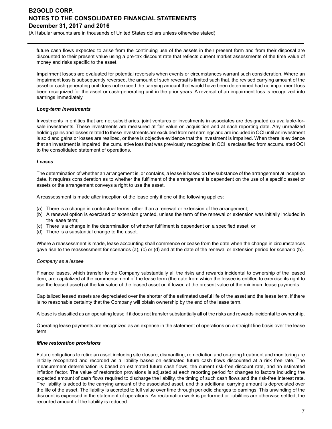(All tabular amounts are in thousands of United States dollars unless otherwise stated)

future cash flows expected to arise from the continuing use of the assets in their present form and from their disposal are discounted to their present value using a pre-tax discount rate that reflects current market assessments of the time value of money and risks specific to the asset.

Impairment losses are evaluated for potential reversals when events or circumstances warrant such consideration. Where an impairment loss is subsequently reversed, the amount of such reversal is limited such that, the revised carrying amount of the asset or cash-generating unit does not exceed the carrying amount that would have been determined had no impairment loss been recognized for the asset or cash-generating unit in the prior years. A reversal of an impairment loss is recognized into earnings immediately.

## *Long-term investments*

Investments in entities that are not subsidiaries, joint ventures or investments in associates are designated as available-forsale investments. These investments are measured at fair value on acquisition and at each reporting date. Any unrealized holding gains and losses related to these investments are excluded from net earnings and are included in OCI until an investment is sold and gains or losses are realized, or there is objective evidence that the investment is impaired. When there is evidence that an investment is impaired, the cumulative loss that was previously recognized in OCI is reclassified from accumulated OCI to the consolidated statement of operations.

#### *Leases*

The determination of whether an arrangement is, or contains, a lease is based on the substance of the arrangement at inception date. It requires consideration as to whether the fulfilment of the arrangement is dependent on the use of a specific asset or assets or the arrangement conveys a right to use the asset.

A reassessment is made after inception of the lease only if one of the following applies:

- (a) There is a change in contractual terms, other than a renewal or extension of the arrangement;
- (b) A renewal option is exercised or extension granted, unless the term of the renewal or extension was initially included in the lease term;
- (c) There is a change in the determination of whether fulfilment is dependent on a specified asset; or
- (d) There is a substantial change to the asset.

Where a reassessment is made, lease accounting shall commence or cease from the date when the change in circumstances gave rise to the reassessment for scenarios (a), (c) or (d) and at the date of the renewal or extension period for scenario (b).

#### *Company as a lessee*

Finance leases, which transfer to the Company substantially all the risks and rewards incidental to ownership of the leased item, are capitalized at the commencement of the lease term (the date from which the lessee is entitled to exercise its right to use the leased asset) at the fair value of the leased asset or, if lower, at the present value of the minimum lease payments.

Capitalized leased assets are depreciated over the shorter of the estimated useful life of the asset and the lease term, if there is no reasonable certainty that the Company will obtain ownership by the end of the lease term.

Alease is classified as an operating lease if it does not transfer substantially all of the risks and rewards incidental to ownership.

Operating lease payments are recognized as an expense in the statement of operations on a straight line basis over the lease term.

## *Mine restoration provisions*

Future obligations to retire an asset including site closure, dismantling, remediation and on-going treatment and monitoring are initially recognized and recorded as a liability based on estimated future cash flows discounted at a risk free rate. The measurement determination is based on estimated future cash flows, the current risk-free discount rate, and an estimated inflation factor. The value of restoration provisions is adjusted at each reporting period for changes to factors including the expected amount of cash flows required to discharge the liability, the timing of such cash flows and the risk-free interest rate. The liability is added to the carrying amount of the associated asset, and this additional carrying amount is depreciated over the life of the asset. The liability is accreted to full value over time through periodic charges to earnings. This unwinding of the discount is expensed in the statement of operations. As reclamation work is performed or liabilities are otherwise settled, the recorded amount of the liability is reduced.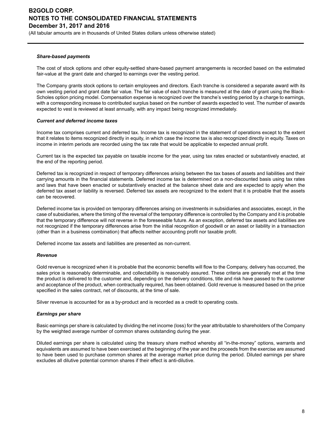## **B2GOLD CORP. NOTES TO THE CONSOLIDATED FINANCIAL STATEMENTS December 31, 2017 and 2016** (All tabular amounts are in thousands of United States dollars unless otherwise stated)

#### *Share-based payments*

The cost of stock options and other equity-settled share-based payment arrangements is recorded based on the estimated fair-value at the grant date and charged to earnings over the vesting period.

The Company grants stock options to certain employees and directors. Each tranche is considered a separate award with its own vesting period and grant date fair value. The fair value of each tranche is measured at the date of grant using the Black-Scholes option pricing model. Compensation expense is recognized over the tranche's vesting period by a charge to earnings, with a corresponding increase to contributed surplus based on the number of awards expected to vest. The number of awards expected to vest is reviewed at least annually, with any impact being recognized immediately.

## *Current and deferred income taxes*

Income tax comprises current and deferred tax. Income tax is recognized in the statement of operations except to the extent that it relates to items recognized directly in equity, in which case the income tax is also recognized directly in equity. Taxes on income in interim periods are recorded using the tax rate that would be applicable to expected annual profit.

Current tax is the expected tax payable on taxable income for the year, using tax rates enacted or substantively enacted, at the end of the reporting period.

Deferred tax is recognized in respect of temporary differences arising between the tax bases of assets and liabilities and their carrying amounts in the financial statements. Deferred income tax is determined on a non-discounted basis using tax rates and laws that have been enacted or substantively enacted at the balance sheet date and are expected to apply when the deferred tax asset or liability is reversed. Deferred tax assets are recognized to the extent that it is probable that the assets can be recovered.

Deferred income tax is provided on temporary differences arising on investments in subsidiaries and associates, except, in the case of subsidiaries, where the timing of the reversal of the temporary difference is controlled by the Company and it is probable that the temporary difference will not reverse in the foreseeable future. As an exception, deferred tax assets and liabilities are not recognized if the temporary differences arise from the initial recognition of goodwill or an asset or liability in a transaction (other than in a business combination) that affects neither accounting profit nor taxable profit.

Deferred income tax assets and liabilities are presented as non-current.

#### *Revenue*

Gold revenue is recognized when it is probable that the economic benefits will flow to the Company, delivery has occurred, the sales price is reasonably determinable, and collectability is reasonably assured. These criteria are generally met at the time the product is delivered to the customer and, depending on the delivery conditions, title and risk have passed to the customer and acceptance of the product, when contractually required, has been obtained. Gold revenue is measured based on the price specified in the sales contract, net of discounts, at the time of sale.

Silver revenue is accounted for as a by-product and is recorded as a credit to operating costs.

#### *Earnings per share*

Basic earnings per share is calculated by dividing the net income (loss) for the year attributable to shareholders of the Company by the weighted average number of common shares outstanding during the year.

Diluted earnings per share is calculated using the treasury share method whereby all "in-the-money" options, warrants and equivalents are assumed to have been exercised at the beginning of the year and the proceeds from the exercise are assumed to have been used to purchase common shares at the average market price during the period. Diluted earnings per share excludes all dilutive potential common shares if their effect is anti-dilutive.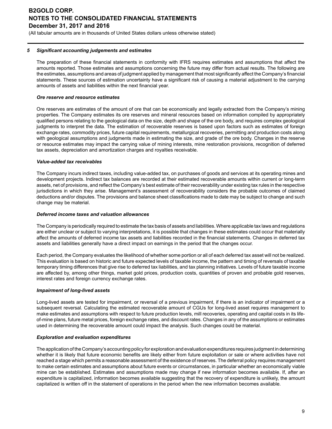(All tabular amounts are in thousands of United States dollars unless otherwise stated)

## *5 Significant accounting judgements and estimates*

The preparation of these financial statements in conformity with IFRS requires estimates and assumptions that affect the amounts reported. Those estimates and assumptions concerning the future may differ from actual results. The following are the estimates, assumptions and areas of judgment applied by management that most significantly affect the Company's financial statements. These sources of estimation uncertainty have a significant risk of causing a material adjustment to the carrying amounts of assets and liabilities within the next financial year.

## *Ore reserve and resource estimates*

Ore reserves are estimates of the amount of ore that can be economically and legally extracted from the Company's mining properties. The Company estimates its ore reserves and mineral resources based on information compiled by appropriately qualified persons relating to the geological data on the size, depth and shape of the ore body, and requires complex geological judgments to interpret the data. The estimation of recoverable reserves is based upon factors such as estimates of foreign exchange rates, commodity prices, future capital requirements, metallurgical recoveries, permitting and production costs along with geological assumptions and judgments made in estimating the size, and grade of the ore body. Changes in the reserve or resource estimates may impact the carrying value of mining interests, mine restoration provisions, recognition of deferred tax assets, depreciation and amortization charges and royalties receivable.

## *Value-added tax receivables*

The Company incurs indirect taxes, including value-added tax, on purchases of goods and services at its operating mines and development projects. Indirect tax balances are recorded at their estimated recoverable amounts within current or long-term assets, net of provisions, and reflect the Company's best estimate of their recoverability under existing tax rules in the respective jurisdictions in which they arise. Management's assessment of recoverability considers the probable outcomes of claimed deductions and/or disputes. The provisions and balance sheet classifications made to date may be subject to change and such change may be material.

#### *Deferred income taxes and valuation allowances*

The Company is periodically required to estimate the tax basis of assets and liabilities. Where applicable tax laws and regulations are either unclear or subject to varying interpretations, it is possible that changes in these estimates could occur that materially affect the amounts of deferred income tax assets and liabilities recorded in the financial statements. Changes in deferred tax assets and liabilities generally have a direct impact on earnings in the period that the changes occur.

Each period, the Company evaluates the likelihood of whether some portion or all of each deferred tax asset will not be realized. This evaluation is based on historic and future expected levels of taxable income, the pattern and timing of reversals of taxable temporary timing differences that give rise to deferred tax liabilities, and tax planning initiatives. Levels of future taxable income are affected by, among other things, market gold prices, production costs, quantities of proven and probable gold reserves, interest rates and foreign currency exchange rates.

## *Impairment of long-lived assets*

Long-lived assets are tested for impairment, or reversal of a previous impairment, if there is an indicator of impairment or a subsequent reversal. Calculating the estimated recoverable amount of CGUs for long-lived asset requires management to make estimates and assumptions with respect to future production levels, mill recoveries, operating and capital costs in its lifeof-mine plans, future metal prices, foreign exchange rates, and discount rates. Changes in any of the assumptions or estimates used in determining the recoverable amount could impact the analysis. Such changes could be material.

## *Exploration and evaluation expenditures*

The application of the Company's accounting policy for exploration and evaluation expenditures requires judgment in determining whether it is likely that future economic benefits are likely either from future exploitation or sale or where activities have not reached a stage which permits a reasonable assessment of the existence of reserves. The deferral policy requires management to make certain estimates and assumptions about future events or circumstances, in particular whether an economically viable mine can be established. Estimates and assumptions made may change if new information becomes available. If, after an expenditure is capitalized, information becomes available suggesting that the recovery of expenditure is unlikely, the amount capitalized is written off in the statement of operations in the period when the new information becomes available.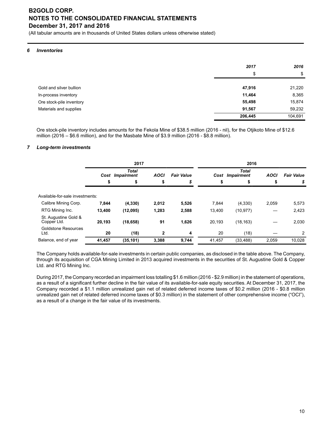(All tabular amounts are in thousands of United States dollars unless otherwise stated)

#### *6 Inventories*

|                          | 2017<br>\$ | 2016<br>\$ |
|--------------------------|------------|------------|
| Gold and silver bullion  | 47,916     | 21,220     |
| In-process inventory     | 11,464     | 8,365      |
| Ore stock-pile inventory | 55,498     | 15,874     |
| Materials and supplies   | 91,567     | 59,232     |
|                          | 206,445    | 104,691    |

Ore stock-pile inventory includes amounts for the Fekola Mine of \$38.5 million (2016 - nil), for the Otjikoto Mine of \$12.6 million (2016 – \$6.6 million), and for the Masbate Mine of \$3.9 million (2016 - \$8.8 million).

#### *7 Long-term investments*

|                                     |        | 2017                              |              |                   | 2016   |                                 |             |                   |
|-------------------------------------|--------|-----------------------------------|--------------|-------------------|--------|---------------------------------|-------------|-------------------|
|                                     | Cost   | <b>Total</b><br><b>Impairment</b> | <b>AOCI</b>  | <b>Fair Value</b> |        | Total<br><b>Cost Impairment</b> | <b>AOCI</b> | <b>Fair Value</b> |
|                                     | \$     | \$                                | \$           | \$                | \$     | \$                              | S           | \$                |
| Available-for-sale investments:     |        |                                   |              |                   |        |                                 |             |                   |
| Calibre Mining Corp.                | 7.844  | (4, 330)                          | 2,012        | 5,526             | 7.844  | (4,330)                         | 2,059       | 5,573             |
| RTG Mining Inc.                     | 13,400 | (12,095)                          | 1,283        | 2,588             | 13,400 | (10, 977)                       |             | 2,423             |
| St. Augustine Gold &<br>Copper Ltd. | 20,193 | (18, 658)                         | 91           | 1,626             | 20.193 | (18, 163)                       |             | 2,030             |
| <b>Goldstone Resources</b><br>Ltd.  | 20     | (18)                              | $\mathbf{2}$ | 4                 | 20     | (18)                            |             | 2                 |
| Balance, end of year                | 41,457 | (35, 101)                         | 3,388        | 9,744             | 41,457 | (33, 488)                       | 2.059       | 10.028            |

The Company holds available-for-sale investments in certain public companies, as disclosed in the table above. The Company, through its acquisition of CGA Mining Limited in 2013 acquired investments in the securities of St. Augustine Gold & Copper Ltd. and RTG Mining Inc.

During 2017, the Company recorded an impairment loss totalling \$1.6 million (2016 - \$2.9 million) in the statement of operations, as a result of a significant further decline in the fair value of its available-for-sale equity securities. At December 31, 2017, the Company recorded a \$1.1 million unrealized gain net of related deferred income taxes of \$0.2 million (2016 - \$0.8 million unrealized gain net of related deferred income taxes of \$0.3 million) in the statement of other comprehensive income ("OCI"), as a result of a change in the fair value of its investments.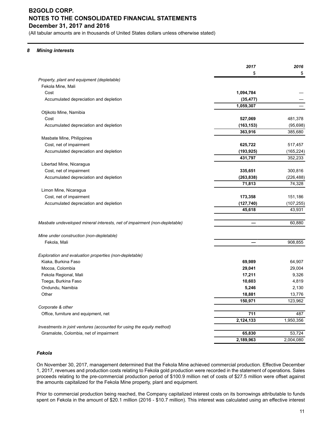(All tabular amounts are in thousands of United States dollars unless otherwise stated)

## *8 Mining interests*

|                                                                           | 2017       | 2016                   |
|---------------------------------------------------------------------------|------------|------------------------|
|                                                                           | \$         | \$                     |
| Property, plant and equipment (depletable)                                |            |                        |
| Fekola Mine, Mali                                                         |            |                        |
| Cost                                                                      | 1,094,784  |                        |
| Accumulated depreciation and depletion                                    | (35, 477)  |                        |
|                                                                           | 1,059,307  |                        |
| Otjikoto Mine, Namibia                                                    |            |                        |
| Cost                                                                      | 527,069    | 481,378                |
| Accumulated depreciation and depletion                                    | (163, 153) | (95, 698)              |
|                                                                           | 363,916    | 385,680                |
| Masbate Mine, Philippines                                                 |            |                        |
| Cost, net of impairment                                                   | 625,722    | 517,457                |
| Accumulated depreciation and depletion                                    | (193, 925) | (165, 224)             |
|                                                                           | 431,797    | 352,233                |
| Libertad Mine, Nicaragua                                                  |            |                        |
| Cost, net of impairment                                                   | 335,651    | 300,816                |
| Accumulated depreciation and depletion                                    | (263, 838) | (226, 488)             |
|                                                                           | 71,813     | 74,328                 |
| Limon Mine, Nicaragua                                                     |            |                        |
| Cost, net of impairment                                                   | 173,358    | 151,186                |
| Accumulated depreciation and depletion                                    | (127, 740) | (107, 255)             |
|                                                                           | 45,618     | 43,931                 |
| Masbate undeveloped mineral interests, net of impairment (non-depletable) |            | 60,880                 |
| Mine under construction (non-depletable)                                  |            |                        |
| Fekola, Mali                                                              |            | 908,855                |
|                                                                           |            |                        |
| Exploration and evaluation properties (non-depletable)                    |            |                        |
| Kiaka, Burkina Faso                                                       | 69,989     | 64,907                 |
| Mocoa, Colombia                                                           | 29,041     | 29,004                 |
| Fekola Regional, Mali                                                     | 17,211     | 9,326                  |
| Toega, Burkina Faso                                                       | 10,603     | 4,819                  |
| Ondundu, Namibia                                                          | 5,246      | 2,130                  |
| Other                                                                     | 18,881     | 13,776                 |
|                                                                           | 150,971    | 123,962                |
| Corporate & other                                                         |            |                        |
| Office, furniture and equipment, net                                      | 711        | 487                    |
|                                                                           | 2,124,133  | $\overline{1,}950,356$ |
| Investments in joint ventures (accounted for using the equity method)     |            |                        |
| Gramalote, Colombia, net of impairment                                    | 65,830     | 53,724                 |
|                                                                           | 2,189,963  | 2,004,080              |

## *Fekola*

On November 30, 2017, management determined that the Fekola Mine achieved commercial production. Effective December 1, 2017, revenues and production costs relating to Fekola gold production were recorded in the statement of operations. Sales proceeds relating to the pre-commercial production period of \$100.9 million net of costs of \$27.5 million were offset against the amounts capitalized for the Fekola Mine property, plant and equipment.

Prior to commercial production being reached, the Company capitalized interest costs on its borrowings attributable to funds spent on Fekola in the amount of \$20.1 million (2016 - \$10.7 million). This interest was calculated using an effective interest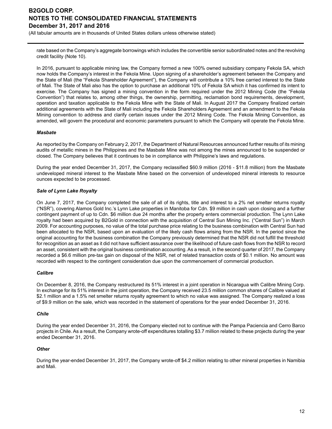(All tabular amounts are in thousands of United States dollars unless otherwise stated)

rate based on the Company's aggregate borrowings which includes the convertible senior subordinated notes and the revolving credit facility (Note 10).

In 2016, pursuant to applicable mining law, the Company formed a new 100% owned subsidiary company Fekola SA, which now holds the Company's interest in the Fekola Mine. Upon signing of a shareholder's agreement between the Company and the State of Mali (the "Fekola Shareholder Agreement"), the Company will contribute a 10% free carried interest to the State of Mali. The State of Mali also has the option to purchase an additional 10% of Fekola SA which it has confirmed its intent to exercise. The Company has signed a mining convention in the form required under the 2012 Mining Code (the "Fekola Convention") that relates to, among other things, the ownership, permitting, reclamation bond requirements, development, operation and taxation applicable to the Fekola Mine with the State of Mali. In August 2017 the Company finalized certain additional agreements with the State of Mali including the Fekola Shareholders Agreement and an amendment to the Fekola Mining convention to address and clarify certain issues under the 2012 Mining Code. The Fekola Mining Convention, as amended, will govern the procedural and economic parameters pursuant to which the Company will operate the Fekola Mine.

## *Masbate*

As reported by the Company on February 2, 2017, the Department of Natural Resources announced further results of its mining audits of metallic mines in the Philippines and the Masbate Mine was not among the mines announced to be suspended or closed. The Company believes that it continues to be in compliance with Philippine's laws and regulations.

During the year ended December 31, 2017, the Company reclassified \$60.9 million (2016 - \$11.8 million) from the Masbate undeveloped mineral interest to the Masbate Mine based on the conversion of undeveloped mineral interests to resource ounces expected to be processed.

## *Sale of Lynn Lake Royalty*

On June 7, 2017, the Company completed the sale of all of its rights, title and interest to a 2% net smelter returns royalty ("NSR"), covering Alamos Gold Inc.'s Lynn Lake properties in Manitoba for Cdn. \$9 million in cash upon closing and a further contingent payment of up to Cdn. \$6 million due 24 months after the property enters commercial production. The Lynn Lake royalty had been acquired by B2Gold in connection with the acquisition of Central Sun Mining Inc. ("Central Sun") in March 2009. For accounting purposes, no value of the total purchase price relating to the business combination with Central Sun had been allocated to the NSR, based upon an evaluation of the likely cash flows arising from the NSR. In the period since the original accounting for the business combination the Company previously determined that the NSR did not fulfill the threshold for recognition as an asset as it did not have sufficient assurance over the likelihood of future cash flows from the NSR to record an asset, consistent with the original business combination accounting. As a result, in the second quarter of 2017, the Company recorded a \$6.6 million pre-tax gain on disposal of the NSR, net of related transaction costs of \$0.1 million. No amount was recorded with respect to the contingent consideration due upon the commencement of commercial production.

## *Calibre*

On December 8, 2016, the Company restructured its 51% interest in a joint operation in Nicaragua with Calibre Mining Corp. In exchange for its 51% interest in the joint operation, the Company received 23.5 million common shares of Calibre valued at \$2.1 million and a 1.5% net smelter returns royalty agreement to which no value was assigned. The Company realized a loss of \$9.9 million on the sale, which was recorded in the statement of operations for the year ended December 31, 2016.

## *Chile*

During the year ended December 31, 2016, the Company elected not to continue with the Pampa Paciencia and Cerro Barco projects in Chile. As a result, the Company wrote-off expenditures totalling \$3.7 million related to these projects during the year ended December 31, 2016.

## *Other*

During the year-ended December 31, 2017, the Company wrote-off \$4.2 million relating to other mineral properties in Namibia and Mali.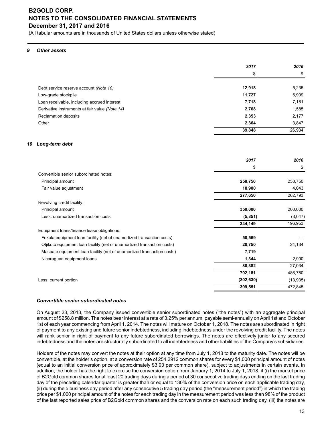(All tabular amounts are in thousands of United States dollars unless otherwise stated)

## *9 Other assets*

|                                                | 2017   | 2016   |
|------------------------------------------------|--------|--------|
|                                                | \$     | \$     |
| Debt service reserve account (Note 10)         | 12,918 | 5,235  |
| Low-grade stockpile                            | 11,727 | 6,909  |
| Loan receivable, including accrued interest    | 7,718  | 7,181  |
| Derivative instruments at fair value (Note 14) | 2,768  | 1,585  |
| Reclamation deposits                           | 2,353  | 2,177  |
| Other                                          | 2,364  | 3,847  |
|                                                | 39,848 | 26,934 |

## *10 Long-term debt*

|                                                                         | 2017       | 2016      |
|-------------------------------------------------------------------------|------------|-----------|
|                                                                         | \$         | \$        |
| Convertible senior subordinated notes:                                  |            |           |
| Principal amount                                                        | 258,750    | 258,750   |
| Fair value adjustment                                                   | 18,900     | 4,043     |
|                                                                         | 277,650    | 262,793   |
| Revolving credit facility:                                              |            |           |
| Principal amount                                                        | 350,000    | 200,000   |
| Less: unamortized transaction costs                                     | (5, 851)   | (3,047)   |
|                                                                         | 344,149    | 196,953   |
| Equipment loans/finance lease obligations:                              |            |           |
| Fekola equipment loan facility (net of unamortized transaction costs)   | 50,569     |           |
| Of ikoto equipment loan facility (net of unamortized transaction costs) | 20,750     | 24,134    |
| Masbate equipment loan facility (net of unamortized transaction costs)  | 7,719      |           |
| Nicaraguan equipment loans                                              | 1,344      | 2,900     |
|                                                                         | 80,382     | 27,034    |
|                                                                         | 702,181    | 486,780   |
| Less: current portion                                                   | (302, 630) | (13, 935) |
|                                                                         | 399,551    | 472,845   |

## *Convertible senior subordinated notes*

On August 23, 2013, the Company issued convertible senior subordinated notes ("the notes") with an aggregate principal amount of \$258.8 million. The notes bear interest at a rate of 3.25% per annum, payable semi-annually on April 1st and October 1st of each year commencing from April 1, 2014. The notes will mature on October 1, 2018. The notes are subordinated in right of payment to any existing and future senior indebtedness, including indebtedness under the revolving credit facility. The notes will rank senior in right of payment to any future subordinated borrowings. The notes are effectively junior to any secured indebtedness and the notes are structurally subordinated to all indebtedness and other liabilities of the Company's subsidiaries.

Holders of the notes may convert the notes at their option at any time from July 1, 2018 to the maturity date. The notes will be convertible, at the holder's option, at a conversion rate of 254.2912 common shares for every \$1,000 principal amount of notes (equal to an initial conversion price of approximately \$3.93 per common share), subject to adjustments in certain events. In addition, the holder has the right to exercise the conversion option from January 1, 2014 to July 1, 2018, if (i) the market price of B2Gold common shares for at least 20 trading days during a period of 30 consecutive trading days ending on the last trading day of the preceding calendar quarter is greater than or equal to 130% of the conversion price on each applicable trading day, (ii) during the 5 business day period after any consecutive 5 trading day period (the "measurement period") in which the trading price per \$1,000 principal amount of the notes for each trading day in the measurement period was less than 98% of the product of the last reported sales price of B2Gold common shares and the conversion rate on each such trading day, (iii) the notes are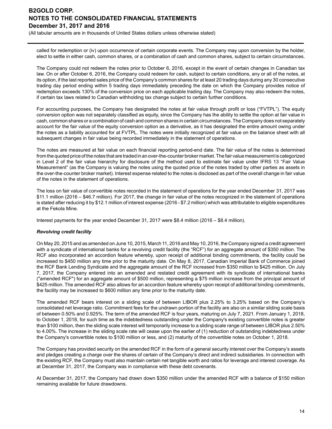(All tabular amounts are in thousands of United States dollars unless otherwise stated)

called for redemption or (iv) upon occurrence of certain corporate events. The Company may upon conversion by the holder, elect to settle in either cash, common shares, or a combination of cash and common shares, subject to certain circumstances.

The Company could not redeem the notes prior to October 6, 2016, except in the event of certain changes in Canadian tax law. On or after October 6, 2016, the Company could redeem for cash, subject to certain conditions, any or all of the notes, at its option, if the last reported sales price of the Company's common shares for at least 20 trading days during any 30 consecutive trading day period ending within 5 trading days immediately preceding the date on which the Company provides notice of redemption exceeds 130% of the conversion price on each applicable trading day. The Company may also redeem the notes, if certain tax laws related to Canadian withholding tax change subject to certain further conditions.

For accounting purposes, the Company has designated the notes at fair value through profit or loss ("FVTPL"). The equity conversion option was not separately classified as equity, since the Company has the ability to settle the option at fair value in cash, common shares or a combination of cash and common shares in certain circumstances. The Company does not separately account for the fair value of the equity conversion option as a derivative, as it has designated the entire amount owing under the notes as a liability accounted for at FVTPL. The notes were initially recognized at fair value on the balance sheet with all subsequent changes in fair value being recorded immediately in the statement of operations.

The notes are measured at fair value on each financial reporting period-end date. The fair value of the notes is determined from the quoted price of the notes that are traded in an over-the-counter broker market. The fair value measurement is categorized in Level 2 of the fair value hierarchy for disclosure of the method used to estimate fair value under IFRS 13 "Fair Value Measurement" (as the Company is valuing the notes using the quoted price of the notes traded by other parties as assets in the over-the-counter broker market). Interest expense related to the notes is disclosed as part of the overall change in fair value of the notes in the statement of operations.

The loss on fair value of convertible notes recorded in the statement of operations for the year ended December 31, 2017 was \$11.1 million (2016 – \$46.7 million). For 2017, the change in fair value of the notes recognized in the statement of operations is stated after reducing it by \$12.1 million of interest expense (2016 - \$7.2 million) which was attributable to eligible expenditures at the Fekola Mine.

Interest payments for the year ended December 31, 2017 were \$8.4 million (2016 – \$8.4 million).

## *Revolving credit facility*

On May 20, 2015 and as amended on June 10, 2015, March 11, 2016 and May 10, 2016, the Company signed a credit agreement with a syndicate of international banks for a revolving credit facility (the "RCF") for an aggregate amount of \$350 million. The RCF also incorporated an accordion feature whereby, upon receipt of additional binding commitments, the facility could be increased to \$450 million any time prior to the maturity date. On May 8, 2017, Canadian Imperial Bank of Commerce joined the RCF Bank Lending Syndicate and the aggregate amount of the RCF increased from \$350 million to \$425 million. On July 7, 2017, the Company entered into an amended and restated credit agreement with its syndicate of international banks ("amended RCF") for an aggregate amount of \$500 million, representing a \$75 million increase from the principal amount of \$425 million. The amended RCF also allows for an accordion feature whereby upon receipt of additional binding commitments, the facility may be increased to \$600 million any time prior to the maturity date.

The amended RCF bears interest on a sliding scale of between LIBOR plus 2.25% to 3.25% based on the Company's consolidated net leverage ratio. Commitment fees for the undrawn portion of the facility are also on a similar sliding scale basis of between 0.50% and 0.925%. The term of the amended RCF is four years, maturing on July 7, 2021. From January 1, 2018, to October 1, 2018, for such time as the indebtedness outstanding under the Company's existing convertible notes is greater than \$100 million, then the sliding scale interest will temporarily increase to a sliding scale range of between LIBOR plus 2.50% to 4.00%. The increase in the sliding scale rate will cease upon the earlier of (1) reduction of outstanding indebtedness under the Company's convertible notes to \$100 million or less, and (2) maturity of the convertible notes on October 1, 2018.

The Company has provided security on the amended RCF in the form of a general security interest over the Company's assets and pledges creating a charge over the shares of certain of the Company's direct and indirect subsidiaries. In connection with the existing RCF, the Company must also maintain certain net tangible worth and ratios for leverage and interest coverage. As at December 31, 2017, the Company was in compliance with these debt covenants.

At December 31, 2017, the Company had drawn down \$350 million under the amended RCF with a balance of \$150 million remaining available for future drawdowns.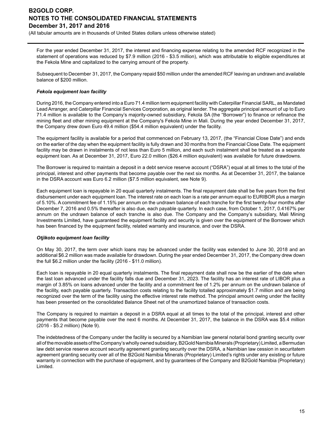(All tabular amounts are in thousands of United States dollars unless otherwise stated)

For the year ended December 31, 2017, the interest and financing expense relating to the amended RCF recognized in the statement of operations was reduced by \$7.9 million (2016 - \$3.5 million), which was attributable to eligible expenditures at the Fekola Mine and capitalized to the carrying amount of the property.

Subsequent to December 31, 2017, the Company repaid \$50 million under the amended RCF leaving an undrawn and available balance of \$200 million.

## *Fekola equipment loan facility*

During 2016, the Company entered into a Euro 71.4 million term equipment facility with Caterpillar Financial SARL, as Mandated Lead Arranger, and Caterpillar Financial Services Corporation, as original lender. The aggregate principal amount of up to Euro 71.4 million is available to the Company's majority-owned subsidiary, Fekola SA (the "Borrower") to finance or refinance the mining fleet and other mining equipment at the Company's Fekola Mine in Mali. During the year ended December 31, 2017, the Company drew down Euro 49.4 million (\$54.4 million equivalent) under the facility.

The equipment facility is available for a period that commenced on February 13, 2017, (the "Financial Close Date") and ends on the earlier of the day when the equipment facility is fully drawn and 30 months from the Financial Close Date. The equipment facility may be drawn in instalments of not less than Euro 5 million, and each such instalment shall be treated as a separate equipment loan. As at December 31, 2017, Euro 22.0 million (\$26.4 million equivalent) was available for future drawdowns.

The Borrower is required to maintain a deposit in a debt service reserve account ("DSRA") equal at all times to the total of the principal, interest and other payments that become payable over the next six months. As at December 31, 2017, the balance in the DSRA account was Euro 6.2 million (\$7.5 million equivalent, see Note 9).

Each equipment loan is repayable in 20 equal quarterly instalments. The final repayment date shall be five years from the first disbursement under each equipment loan. The interest rate on each loan is a rate per annum equal to EURIBOR plus a margin of 5.10%. A commitment fee of 1.15% per annum on the undrawn balance of each tranche for the first twenty-four months after December 7, 2016 and 0.5% thereafter is also due, each payable quarterly. In each case, from October 1, 2017, 0.4167% per annum on the undrawn balance of each tranche is also due. The Company and the Company's subsidiary, Mali Mining Investments Limited, have guaranteed the equipment facility and security is given over the equipment of the Borrower which has been financed by the equipment facility, related warranty and insurance, and over the DSRA.

## *Otjikoto equipment loan facility*

On May 30, 2017, the term over which loans may be advanced under the facility was extended to June 30, 2018 and an additional \$6.2 million was made available for drawdown. During the year ended December 31, 2017, the Company drew down the full \$6.2 million under the facility (2016 - \$11.0 million).

Each loan is repayable in 20 equal quarterly instalments. The final repayment date shall now be the earlier of the date when the last loan advanced under the facility falls due and December 31, 2023. The facility has an interest rate of LIBOR plus a margin of 3.85% on loans advanced under the facility and a commitment fee of 1.2% per annum on the undrawn balance of the facility, each payable quarterly. Transaction costs relating to the facility totalled approximately \$1.7 million and are being recognized over the term of the facility using the effective interest rate method. The principal amount owing under the facility has been presented on the consolidated Balance Sheet net of the unamortized balance of transaction costs.

The Company is required to maintain a deposit in a DSRA equal at all times to the total of the principal, interest and other payments that become payable over the next 6 months. At December 31, 2017, the balance in the DSRA was \$5.4 million (2016 - \$5.2 million) (Note 9).

The indebtedness of the Company under the facility is secured by a Namibian law general notarial bond granting security over all of the movable assets of the Company's wholly owned subsidiary, B2Gold Namibia Minerals (Proprietary) Limited, a Bermudan law debt service reserve account security agreement granting security over the DSRA, a Namibian law cession in securitatem agreement granting security over all of the B2Gold Namibia Minerals (Proprietary) Limited's rights under any existing or future warranty in connection with the purchase of equipment, and by guarantees of the Company and B2Gold Namibia (Proprietary) Limited.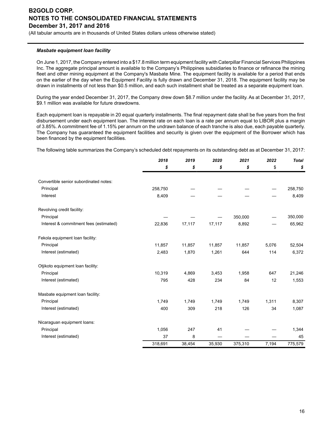(All tabular amounts are in thousands of United States dollars unless otherwise stated)

## *Masbate equipment loan facility*

On June 1, 2017, the Company entered into a \$17.8 million term equipment facility with Caterpillar Financial Services Philippines Inc. The aggregate principal amount is available to the Company's Philippines subsidiaries to finance or refinance the mining fleet and other mining equipment at the Company's Masbate Mine. The equipment facility is available for a period that ends on the earlier of the day when the Equipment Facility is fully drawn and December 31, 2018. The equipment facility may be drawn in installments of not less than \$0.5 million, and each such installment shall be treated as a separate equipment loan.

During the year ended December 31, 2017, the Company drew down \$8.7 million under the facility. As at December 31, 2017, \$9.1 million was available for future drawdowns.

Each equipment loan is repayable in 20 equal quarterly installments. The final repayment date shall be five years from the first disbursement under each equipment loan. The interest rate on each loan is a rate per annum equal to LIBOR plus a margin of 3.85%. A commitment fee of 1.15% per annum on the undrawn balance of each tranche is also due, each payable quarterly. The Company has guaranteed the equipment facilities and security is given over the equipment of the Borrower which has been financed by the equipment facilities.

The following table summarizes the Company's scheduled debt repayments on its outstanding debt as at December 31, 2017:

|                                        | 2018    | 2019   | 2020   | 2021    | 2022  | <b>Total</b> |
|----------------------------------------|---------|--------|--------|---------|-------|--------------|
|                                        | \$      | \$     | \$     | \$      | \$    | \$           |
| Convertible senior subordinated notes: |         |        |        |         |       |              |
| Principal                              | 258,750 |        |        |         |       | 258,750      |
| Interest                               | 8,409   |        |        |         |       | 8,409        |
| Revolving credit facility:             |         |        |        |         |       |              |
| Principal                              |         |        |        | 350,000 |       | 350,000      |
| Interest & commitment fees (estimated) | 22,836  | 17,117 | 17,117 | 8,892   |       | 65,962       |
| Fekola equipment loan facility:        |         |        |        |         |       |              |
| Principal                              | 11,857  | 11,857 | 11,857 | 11,857  | 5,076 | 52,504       |
| Interest (estimated)                   | 2,483   | 1,870  | 1,261  | 644     | 114   | 6,372        |
| Otjikoto equipment loan facility:      |         |        |        |         |       |              |
| Principal                              | 10,319  | 4,869  | 3,453  | 1,958   | 647   | 21,246       |
| Interest (estimated)                   | 795     | 428    | 234    | 84      | 12    | 1,553        |
| Masbate equipment loan facility:       |         |        |        |         |       |              |
| Principal                              | 1,749   | 1,749  | 1,749  | 1,749   | 1,311 | 8,307        |
| Interest (estimated)                   | 400     | 309    | 218    | 126     | 34    | 1,087        |
| Nicaraguan equipment loans:            |         |        |        |         |       |              |
| Principal                              | 1,056   | 247    | 41     |         |       | 1,344        |
| Interest (estimated)                   | 37      | 8      |        |         |       | 45           |
|                                        | 318,691 | 38,454 | 35,930 | 375,310 | 7,194 | 775,579      |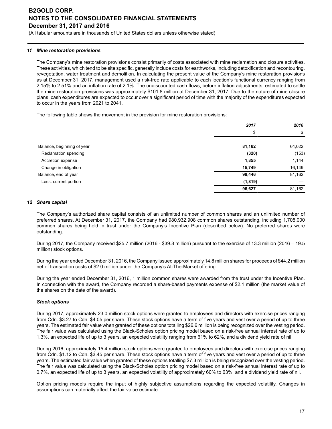(All tabular amounts are in thousands of United States dollars unless otherwise stated)

## *11 Mine restoration provisions*

The Company's mine restoration provisions consist primarily of costs associated with mine reclamation and closure activities. These activities, which tend to be site specific, generally include costs for earthworks, including detoxification and recontouring, revegetation, water treatment and demolition. In calculating the present value of the Company's mine restoration provisions as at December 31, 2017, management used a risk-free rate applicable to each location's functional currency ranging from 2.15% to 2.51% and an inflation rate of 2.1%. The undiscounted cash flows, before inflation adjustments, estimated to settle the mine restoration provisions was approximately \$101.8 million at December 31, 2017. Due to the nature of mine closure plans, cash expenditures are expected to occur over a significant period of time with the majority of the expenditures expected to occur in the years from 2021 to 2041.

The following table shows the movement in the provision for mine restoration provisions:

|                            | 2017    | 2016   |
|----------------------------|---------|--------|
|                            | \$      | \$     |
| Balance, beginning of year | 81,162  | 64,022 |
| Reclamation spending       | (320)   | (153)  |
| Accretion expense          | 1,855   | 1,144  |
| Change in obligation       | 15,749  | 16,149 |
| Balance, end of year       | 98,446  | 81,162 |
| Less: current portion      | (1,819) |        |
|                            | 96,627  | 81,162 |

## *12 Share capital*

The Company's authorized share capital consists of an unlimited number of common shares and an unlimited number of preferred shares. At December 31, 2017, the Company had 980,932,908 common shares outstanding, including 1,705,000 common shares being held in trust under the Company's Incentive Plan (described below). No preferred shares were outstanding.

During 2017, the Company received \$25.7 million (2016 - \$39.8 million) pursuant to the exercise of 13.3 million (2016 – 19.5 million) stock options.

During the year ended December 31, 2016, the Company issued approximately 14.8 million shares for proceeds of \$44.2 million net of transaction costs of \$2.0 million under the Company's At-The-Market offering.

During the year ended December 31, 2016, 1 million common shares were awarded from the trust under the Incentive Plan. In connection with the award, the Company recorded a share-based payments expense of \$2.1 million (the market value of the shares on the date of the award).

## *Stock options*

During 2017, approximately 23.0 million stock options were granted to employees and directors with exercise prices ranging from Cdn. \$3.27 to Cdn. \$4.05 per share. These stock options have a term of five years and vest over a period of up to three years. The estimated fair value when granted of these options totalling \$26.6 million is being recognized over the vesting period. The fair value was calculated using the Black-Scholes option pricing model based on a risk-free annual interest rate of up to 1.3%, an expected life of up to 3 years, an expected volatility ranging from 61% to 62%, and a dividend yield rate of nil.

During 2016, approximately 15.4 million stock options were granted to employees and directors with exercise prices ranging from Cdn. \$1.12 to Cdn. \$3.45 per share. These stock options have a term of five years and vest over a period of up to three years. The estimated fair value when granted of these options totalling \$7.3 million is being recognized over the vesting period. The fair value was calculated using the Black-Scholes option pricing model based on a risk-free annual interest rate of up to 0.7%, an expected life of up to 3 years, an expected volatility of approximately 60% to 63%, and a dividend yield rate of nil.

Option pricing models require the input of highly subjective assumptions regarding the expected volatility. Changes in assumptions can materially affect the fair value estimate.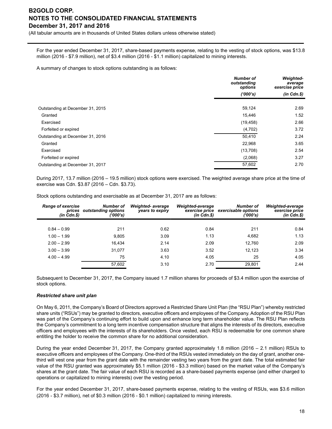(All tabular amounts are in thousands of United States dollars unless otherwise stated)

For the year ended December 31, 2017, share-based payments expense, relating to the vesting of stock options, was \$13.8 million (2016 - \$7.9 million), net of \$3.4 million (2016 - \$1.1 million) capitalized to mining interests.

A summary of changes to stock options outstanding is as follows:

|                                  | <b>Number of</b><br>outstanding<br>options | <b>Weighted-</b><br>average<br>exercise price |
|----------------------------------|--------------------------------------------|-----------------------------------------------|
|                                  | (1000's)                                   | $(in$ $Cdn.$ \$)                              |
| Outstanding at December 31, 2015 | 59,124                                     | 2.69                                          |
| Granted                          | 15,446                                     | 1.52                                          |
| Exercised                        | (19, 458)                                  | 2.66                                          |
| Forfeited or expired             | (4,702)                                    | 3.72                                          |
| Outstanding at December 31, 2016 | 50,410                                     | 2.24                                          |
| Granted                          | 22,968                                     | 3.65                                          |
| Exercised                        | (13,708)                                   | 2.54                                          |
| Forfeited or expired             | (2,068)                                    | 3.27                                          |
| Outstanding at December 31, 2017 | 57,602                                     | 2.70                                          |

During 2017, 13.7 million (2016 – 19.5 million) stock options were exercised. The weighted average share price at the time of exercise was Cdn. \$3.87 (2016 – Cdn. \$3.73).

| Weighted-average<br>exercise price<br>$(in$ $Cdn.\$ | <b>Number of</b><br>exercisable options<br>('000's) | Weighted-average<br>exercise price<br>$(in$ $Cdn.S)$ | <b>Weighted-average</b><br>years to expiry | <b>Number of</b><br>prices outstanding options<br>"000's) | <b>Range of exercise</b><br>$(in \text{ } Cdn.\$)$ |
|-----------------------------------------------------|-----------------------------------------------------|------------------------------------------------------|--------------------------------------------|-----------------------------------------------------------|----------------------------------------------------|
|                                                     |                                                     |                                                      |                                            |                                                           |                                                    |
| 0.84                                                | 211                                                 | 0.84                                                 | 0.62                                       | 211                                                       | $0.84 - 0.99$                                      |
| 1.13                                                | 4,682                                               | 1.13                                                 | 3.09                                       | 9.805                                                     | $1.00 - 1.99$                                      |
| 2.09                                                | 12,760                                              | 2.09                                                 | 2.14                                       | 16.434                                                    | $2.00 - 2.99$                                      |
| 3.34                                                | 12.123                                              | 3.52                                                 | 3.63                                       | 31,077                                                    | $3.00 - 3.99$                                      |
| 4.05                                                | 25                                                  | 4.05                                                 | 4.10                                       | 75                                                        | $4.00 - 4.99$                                      |
| 2.44                                                | 29,801                                              | 2.70                                                 | 3.10                                       | 57,602                                                    |                                                    |
|                                                     |                                                     |                                                      |                                            |                                                           |                                                    |

Stock options outstanding and exercisable as at December 31, 2017 are as follows:

Subsequent to December 31, 2017, the Company issued 1.7 million shares for proceeds of \$3.4 million upon the exercise of stock options.

#### *Restricted share unit plan*

On May 6, 2011, the Company's Board of Directors approved a Restricted Share Unit Plan (the "RSU Plan") whereby restricted share units ("RSUs") may be granted to directors, executive officers and employees of the Company. Adoption of the RSU Plan was part of the Company's continuing effort to build upon and enhance long term shareholder value. The RSU Plan reflects the Company's commitment to a long term incentive compensation structure that aligns the interests of its directors, executive officers and employees with the interests of its shareholders. Once vested, each RSU is redeemable for one common share entitling the holder to receive the common share for no additional consideration.

During the year ended December 31, 2017, the Company granted approximately 1.8 million (2016 – 2.1 million) RSUs to executive officers and employees of the Company. One-third of the RSUs vested immediately on the day of grant, another onethird will vest one year from the grant date with the remainder vesting two years from the grant date. The total estimated fair value of the RSU granted was approximately \$5.1 million (2016 - \$3.3 million) based on the market value of the Company's shares at the grant date. The fair value of each RSU is recorded as a share-based payments expense (and either charged to operations or capitalized to mining interests) over the vesting period.

For the year ended December 31, 2017, share-based payments expense, relating to the vesting of RSUs, was \$3.6 million (2016 - \$3.7 million), net of \$0.3 million (2016 - \$0.1 million) capitalized to mining interests.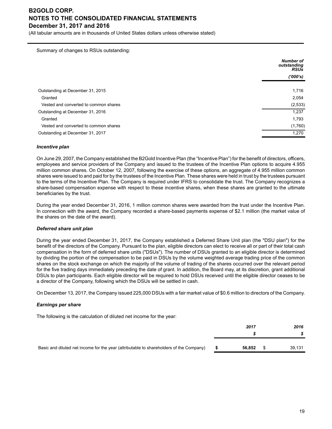(All tabular amounts are in thousands of United States dollars unless otherwise stated)

Summary of changes to RSUs outstanding:

|                                       | <b>Number of</b><br>outstanding<br><b>RSUs</b> |
|---------------------------------------|------------------------------------------------|
|                                       | (1000's)                                       |
|                                       |                                                |
| Outstanding at December 31, 2015      | 1,716                                          |
| Granted                               | 2,054                                          |
| Vested and converted to common shares | (2,533)                                        |
| Outstanding at December 31, 2016      | 1,237                                          |
| Granted                               | 1,793                                          |
| Vested and converted to common shares | (1,760)                                        |
| Outstanding at December 31, 2017      | 1.270                                          |

## *Incentive plan*

On June 29, 2007, the Company established the B2Gold Incentive Plan (the "Incentive Plan") for the benefit of directors, officers, employees and service providers of the Company and issued to the trustees of the Incentive Plan options to acquire 4.955 million common shares. On October 12, 2007, following the exercise of these options, an aggregate of 4.955 million common shares were issued to and paid for by the trustees of the Incentive Plan. These shares were held in trust by the trustees pursuant to the terms of the Incentive Plan. The Company is required under IFRS to consolidate the trust. The Company recognizes a share-based compensation expense with respect to these incentive shares, when these shares are granted to the ultimate beneficiaries by the trust.

During the year ended December 31, 2016, 1 million common shares were awarded from the trust under the Incentive Plan. In connection with the award, the Company recorded a share-based payments expense of \$2.1 million (the market value of the shares on the date of the award).

#### *Deferred share unit plan*

During the year ended December 31, 2017, the Company established a Deferred Share Unit plan (the "DSU plan") for the benefit of the directors of the Company. Pursuant to the plan, eligible directors can elect to receive all or part of their total cash compensation in the form of deferred share units ("DSUs"). The number of DSUs granted to an eligible director is determined by dividing the portion of the compensation to be paid in DSUs by the volume weighted average trading price of the common shares on the stock exchange on which the majority of the volume of trading of the shares occurred over the relevant period for the five trading days immediately preceding the date of grant. In addition, the Board may, at its discretion, grant additional DSUs to plan participants. Each eligible director will be required to hold DSUs received until the eligible director ceases to be a director of the Company, following which the DSUs will be settled in cash.

On December 13, 2017, the Company issued 225,000 DSUs with a fair market value of \$0.6 million to directors of the Company.

#### *Earnings per share*

The following is the calculation of diluted net income for the year:

|                                                                                         | 2017   |   | 2016   |
|-----------------------------------------------------------------------------------------|--------|---|--------|
|                                                                                         |        |   |        |
| Basic and diluted net income for the year (attributable to shareholders of the Company) | 56.852 | S | 39,131 |
|                                                                                         |        |   |        |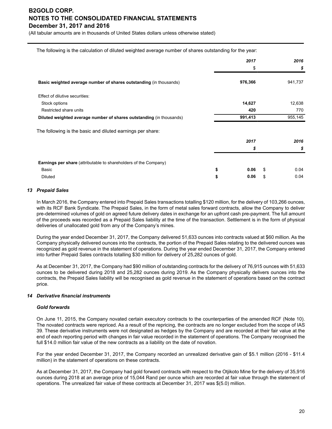(All tabular amounts are in thousands of United States dollars unless otherwise stated)

The following is the calculation of diluted weighted average number of shares outstanding for the year:

|                                                                         |    | 2017    | 2016       |
|-------------------------------------------------------------------------|----|---------|------------|
|                                                                         |    | S       | \$         |
| Basic weighted average number of shares outstanding (in thousands)      |    | 976,366 | 941,737    |
| Effect of dilutive securities:                                          |    |         |            |
| Stock options                                                           |    | 14,627  | 12,638     |
| Restricted share units                                                  |    | 420     | 770        |
| Diluted weighted average number of shares outstanding (in thousands)    |    | 991,413 | 955,145    |
| The following is the basic and diluted earnings per share:              |    |         |            |
|                                                                         |    | 2017    | 2016       |
|                                                                         |    |         | \$         |
| <b>Earnings per share</b> (attributable to shareholders of the Company) |    |         |            |
| Basic                                                                   | \$ | 0.06    | \$<br>0.04 |
| <b>Diluted</b>                                                          | S  | 0.06    | \$<br>0.04 |

## *13 Prepaid Sales*

In March 2016, the Company entered into Prepaid Sales transactions totalling \$120 million, for the delivery of 103,266 ounces, with its RCF Bank Syndicate. The Prepaid Sales, in the form of metal sales forward contracts, allow the Company to deliver pre-determined volumes of gold on agreed future delivery dates in exchange for an upfront cash pre-payment. The full amount of the proceeds was recorded as a Prepaid Sales liability at the time of the transaction. Settlement is in the form of physical deliveries of unallocated gold from any of the Company's mines.

During the year ended December 31, 2017, the Company delivered 51,633 ounces into contracts valued at \$60 million. As the Company physically delivered ounces into the contracts, the portion of the Prepaid Sales relating to the delivered ounces was recognized as gold revenue in the statement of operations. During the year ended December 31, 2017, the Company entered into further Prepaid Sales contracts totalling \$30 million for delivery of 25,282 ounces of gold.

As at December 31, 2017, the Company had \$90 million of outstanding contracts for the delivery of 76,915 ounces with 51,633 ounces to be delivered during 2018 and 25,282 ounces during 2019. As the Company physically delivers ounces into the contracts, the Prepaid Sales liability will be recognised as gold revenue in the statement of operations based on the contract price.

## *14 Derivative financial instruments*

## *Gold forwards*

On June 11, 2015, the Company novated certain executory contracts to the counterparties of the amended RCF (Note 10). The novated contracts were repriced. As a result of the repricing, the contracts are no longer excluded from the scope of IAS 39. These derivative instruments were not designated as hedges by the Company and are recorded at their fair value at the end of each reporting period with changes in fair value recorded in the statement of operations. The Company recognised the full \$14.0 million fair value of the new contracts as a liability on the date of novation.

For the year ended December 31, 2017, the Company recorded an unrealized derivative gain of \$5.1 million (2016 - \$11.4 million) in the statement of operations on these contracts.

As at December 31, 2017, the Company had gold forward contracts with respect to the Otjikoto Mine for the delivery of 35,916 ounces during 2018 at an average price of 15,044 Rand per ounce which are recorded at fair value through the statement of operations. The unrealized fair value of these contracts at December 31, 2017 was \$(5.0) million.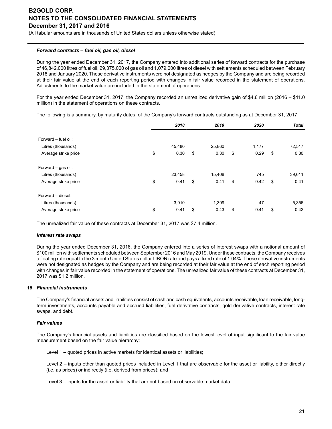(All tabular amounts are in thousands of United States dollars unless otherwise stated)

## *Forward contracts – fuel oil, gas oil, diesel*

During the year ended December 31, 2017, the Company entered into additional series of forward contracts for the purchase of 46,842,000 litres of fuel oil, 29,375,000 of gas oil and 1,079,000 litres of diesel with settlements scheduled between February 2018 and January 2020. These derivative instruments were not designated as hedges by the Company and are being recorded at their fair value at the end of each reporting period with changes in fair value recorded in the statement of operations. Adjustments to the market value are included in the statement of operations.

For the year ended December 31, 2017, the Company recorded an unrealized derivative gain of \$4.6 million (2016 – \$11.0 million) in the statement of operations on these contracts.

The following is a summary, by maturity dates, of the Company's forward contracts outstanding as at December 31, 2017:

|                      | 2018       | 2019       | 2020       | <b>Total</b> |
|----------------------|------------|------------|------------|--------------|
| Forward - fuel oil:  |            |            |            |              |
| Litres (thousands)   | 45,480     | 25,860     | 1,177      | 72,517       |
| Average strike price | \$<br>0.30 | \$<br>0.30 | \$<br>0.29 | \$<br>0.30   |
| Forward - gas oil:   |            |            |            |              |
| Litres (thousands)   | 23,458     | 15,408     | 745        | 39,611       |
| Average strike price | \$<br>0.41 | \$<br>0.41 | \$<br>0.42 | \$<br>0.41   |
| Forward - diesel:    |            |            |            |              |
| Litres (thousands)   | 3,910      | 1,399      | 47         | 5,356        |
| Average strike price | \$<br>0.41 | \$<br>0.43 | \$<br>0.41 | \$<br>0.42   |

The unrealized fair value of these contracts at December 31, 2017 was \$7.4 million.

## *Interest rate swaps*

During the year ended December 31, 2016, the Company entered into a series of interest swaps with a notional amount of \$100 million with settlements scheduled between September 2016 and May 2019. Under these contracts, the Company receives a floating rate equal to the 3 month United States dollar LIBOR rate and pays a fixed rate of 1.04%. These derivative instruments were not designated as hedges by the Company and are being recorded at their fair value at the end of each reporting period with changes in fair value recorded in the statement of operations. The unrealized fair value of these contracts at December 31, 2017 was \$1.2 million.

## *15 Financial instruments*

The Company's financial assets and liabilities consist of cash and cash equivalents, accounts receivable, loan receivable, longterm investments, accounts payable and accrued liabilities, fuel derivative contracts, gold derivative contracts, interest rate swaps, and debt.

## *Fair values*

The Company's financial assets and liabilities are classified based on the lowest level of input significant to the fair value measurement based on the fair value hierarchy:

Level 1 – quoted prices in active markets for identical assets or liabilities;

Level 2 – inputs other than quoted prices included in Level 1 that are observable for the asset or liability, either directly (i.e. as prices) or indirectly (i.e. derived from prices); and

Level 3 – inputs for the asset or liability that are not based on observable market data.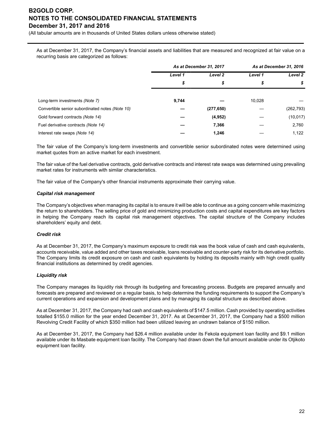(All tabular amounts are in thousands of United States dollars unless otherwise stated)

As at December 31, 2017, the Company's financial assets and liabilities that are measured and recognized at fair value on a recurring basis are categorized as follows:

|                                                 | As at December 31, 2017 |            | As at December 31, 2016 |            |         |         |         |
|-------------------------------------------------|-------------------------|------------|-------------------------|------------|---------|---------|---------|
|                                                 | Level 1                 |            |                         |            | Level 2 | Level 1 | Level 2 |
|                                                 | \$                      | \$         | \$                      | \$         |         |         |         |
| Long-term investments (Note 7)                  | 9.744                   |            | 10,028                  |            |         |         |         |
| Convertible senior subordinated notes (Note 10) |                         | (277, 650) |                         | (262, 793) |         |         |         |
| Gold forward contracts (Note 14)                |                         | (4, 952)   |                         | (10, 017)  |         |         |         |
| Fuel derivative contracts (Note 14)             |                         | 7,366      |                         | 2,760      |         |         |         |
| Interest rate swaps (Note 14)                   |                         | 1,246      |                         | 1,122      |         |         |         |

The fair value of the Company's long-term investments and convertible senior subordinated notes were determined using market quotes from an active market for each investment.

The fair value of the fuel derivative contracts, gold derivative contracts and interest rate swaps was determined using prevailing market rates for instruments with similar characteristics.

The fair value of the Company's other financial instruments approximate their carrying value.

#### *Capital risk management*

The Company's objectives when managing its capital is to ensure it will be able to continue as a going concern while maximizing the return to shareholders. The selling price of gold and minimizing production costs and capital expenditures are key factors in helping the Company reach its capital risk management objectives. The capital structure of the Company includes shareholders' equity and debt.

## *Credit risk*

As at December 31, 2017, the Company's maximum exposure to credit risk was the book value of cash and cash equivalents, accounts receivable, value added and other taxes receivable, loans receivable and counter-party risk for its derivative portfolio. The Company limits its credit exposure on cash and cash equivalents by holding its deposits mainly with high credit quality financial institutions as determined by credit agencies.

## *Liquidity risk*

The Company manages its liquidity risk through its budgeting and forecasting process. Budgets are prepared annually and forecasts are prepared and reviewed on a regular basis, to help determine the funding requirements to support the Company's current operations and expansion and development plans and by managing its capital structure as described above.

As at December 31, 2017, the Company had cash and cash equivalents of \$147.5 million. Cash provided by operating activities totalled \$155.0 million for the year ended December 31, 2017. As at December 31, 2017, the Company had a \$500 million Revolving Credit Facility of which \$350 million had been utilized leaving an undrawn balance of \$150 million.

As at December 31, 2017, the Company had \$26.4 million available under its Fekola equipment loan facility and \$9.1 million available under its Masbate equipment loan facility. The Company had drawn down the full amount available under its Otjikoto equipment loan facility.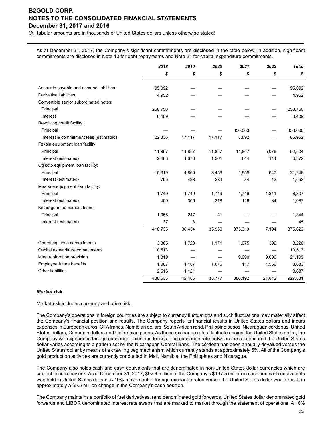(All tabular amounts are in thousands of United States dollars unless otherwise stated)

As at December 31, 2017, the Company's significant commitments are disclosed in the table below. In addition, significant commitments are disclosed in Note 10 for debt repayments and Note 21 for capital expenditure commitments.

|                                          | 2018    | 2019   | 2020   | 2021    | 2022   | <b>Total</b> |
|------------------------------------------|---------|--------|--------|---------|--------|--------------|
|                                          | \$      | \$     | \$     | \$      | \$     | \$           |
| Accounts payable and accrued liabilities | 95,092  |        |        |         |        | 95,092       |
| Derivative liabilities                   | 4,952   |        |        |         |        | 4,952        |
| Convertible senior subordinated notes:   |         |        |        |         |        |              |
| Principal                                | 258,750 |        |        |         |        | 258,750      |
| Interest                                 | 8,409   |        |        |         |        | 8,409        |
| Revolving credit facility:               |         |        |        |         |        |              |
| Principal                                |         |        |        | 350,000 |        | 350,000      |
| Interest & commitment fees (estimated)   | 22,836  | 17,117 | 17,117 | 8,892   |        | 65,962       |
| Fekola equipment loan facility:          |         |        |        |         |        |              |
| Principal                                | 11,857  | 11,857 | 11,857 | 11,857  | 5,076  | 52,504       |
| Interest (estimated)                     | 2,483   | 1,870  | 1,261  | 644     | 114    | 6,372        |
| Otjikoto equipment loan facility:        |         |        |        |         |        |              |
| Principal                                | 10,319  | 4,869  | 3,453  | 1,958   | 647    | 21,246       |
| Interest (estimated)                     | 795     | 428    | 234    | 84      | 12     | 1,553        |
| Masbate equipment loan facility:         |         |        |        |         |        |              |
| Principal                                | 1,749   | 1,749  | 1,749  | 1,749   | 1,311  | 8,307        |
| Interest (estimated)                     | 400     | 309    | 218    | 126     | 34     | 1,087        |
| Nicaraguan equipment loans:              |         |        |        |         |        |              |
| Principal                                | 1,056   | 247    | 41     |         |        | 1,344        |
| Interest (estimated)                     | 37      | 8      |        |         |        | 45           |
|                                          | 418,735 | 38,454 | 35,930 | 375,310 | 7,194  | 875,623      |
| Operating lease commitments              | 3,865   | 1,723  | 1,171  | 1,075   | 392    | 8,226        |
| Capital expenditure commitments          | 10,513  |        |        |         |        | 10,513       |
| Mine restoration provision               | 1,819   |        |        | 9,690   | 9,690  | 21,199       |
| Employee future benefits                 | 1,087   | 1,187  | 1,676  | 117     | 4,566  | 8,633        |
| Other liabilities                        | 2,516   | 1,121  |        |         |        | 3,637        |
|                                          | 438,535 | 42,485 | 38,777 | 386,192 | 21,842 | 927,831      |

## *Market risk*

Market risk includes currency and price risk.

The Company's operations in foreign countries are subject to currency fluctuations and such fluctuations may materially affect the Company's financial position and results. The Company reports its financial results in United States dollars and incurs expenses in European euros, CFAfrancs, Namibian dollars, South African rand, Philippine pesos, Nicaraguan córdobas, United States dollars, Canadian dollars and Colombian pesos. As these exchange rates fluctuate against the United States dollar, the Company will experience foreign exchange gains and losses. The exchange rate between the córdoba and the United States dollar varies according to a pattern set by the Nicaraguan Central Bank. The córdoba has been annually devalued versus the United States dollar by means of a crawling peg mechanism which currently stands at approximately 5%. All of the Company's gold production activities are currently conducted in Mali, Namibia, the Philippines and Nicaragua.

The Company also holds cash and cash equivalents that are denominated in non-United States dollar currencies which are subject to currency risk. As at December 31, 2017, \$92.4 million of the Company's \$147.5 million in cash and cash equivalents was held in United States dollars. A 10% movement in foreign exchange rates versus the United States dollar would result in approximately a \$5.5 million change in the Company's cash position.

The Company maintains a portfolio of fuel derivatives, rand denominated gold forwards, United States dollar denominated gold forwards and LIBOR denominated interest rate swaps that are marked to market through the statement of operations. A 10%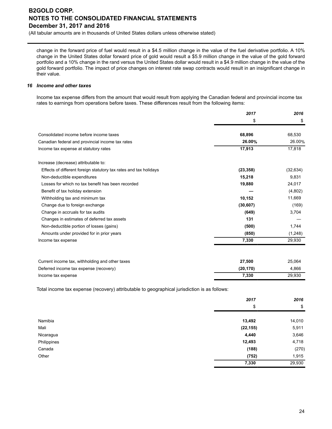(All tabular amounts are in thousands of United States dollars unless otherwise stated)

change in the forward price of fuel would result in a \$4.5 million change in the value of the fuel derivative portfolio. A 10% change in the United States dollar forward price of gold would result a \$5.9 million change in the value of the gold forward portfolio and a 10% change in the rand versus the United States dollar would result in a \$4.9 million change in the value of the gold forward portfolio. The impact of price changes on interest rate swap contracts would result in an insignificant change in their value.

#### *16 Income and other taxes*

Income tax expense differs from the amount that would result from applying the Canadian federal and provincial income tax rates to earnings from operations before taxes. These differences result from the following items:

|                                                                   | 2017      | 2016      |
|-------------------------------------------------------------------|-----------|-----------|
|                                                                   | \$        | \$        |
| Consolidated income before income taxes                           | 68,896    | 68,530    |
| Canadian federal and provincial income tax rates                  | 26.00%    | 26.00%    |
| Income tax expense at statutory rates                             | 17,913    | 17,818    |
| Increase (decrease) attributable to:                              |           |           |
| Effects of different foreign statutory tax rates and tax holidays | (23, 358) | (32, 634) |
| Non-deductible expenditures                                       | 15,218    | 9,831     |
| Losses for which no tax benefit has been recorded                 | 19,880    | 24,017    |
| Benefit of tax holiday extension                                  |           | (4,802)   |
| Withholding tax and minimum tax                                   | 10,152    | 11,669    |
| Change due to foreign exchange                                    | (30, 607) | (169)     |
| Change in accruals for tax audits                                 | (649)     | 3,704     |
| Changes in estimates of deferred tax assets                       | 131       |           |
| Non-deductible portion of losses (gains)                          | (500)     | 1,744     |
| Amounts under provided for in prior years                         | (850)     | (1,248)   |
| Income tax expense                                                | 7,330     | 29,930    |
|                                                                   |           |           |
| Current income tax, withholding and other taxes                   | 27,500    | 25,064    |
| Deferred income tax expense (recovery)                            | (20, 170) | 4,866     |
| Income tax expense                                                | 7,330     | 29,930    |

Total income tax expense (recovery) attributable to geographical jurisdiction is as follows:

|             | 2017      | 2016   |
|-------------|-----------|--------|
|             | \$        | \$     |
| Namibia     | 13,492    | 14,010 |
| Mali        | (22, 155) | 5,911  |
| Nicaragua   | 4,440     | 3,646  |
| Philippines | 12,493    | 4,718  |
| Canada      | (188)     | (270)  |
| Other       | (752)     | 1,915  |
|             | 7,330     | 29,930 |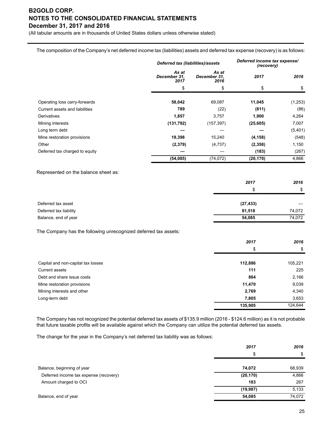(All tabular amounts are in thousands of United States dollars unless otherwise stated)

The composition of the Company's net deferred income tax (liabilities) assets and deferred tax expense (recovery) is as follows:

|                                | Deferred tax (liabilities)/assets |                               | Deferred income tax expense/<br>(recovery) |         |  |
|--------------------------------|-----------------------------------|-------------------------------|--------------------------------------------|---------|--|
|                                | As at<br>December 31.<br>2017     | As at<br>December 31.<br>2016 | 2017                                       | 2016    |  |
|                                | \$                                | \$                            | \$                                         | \$      |  |
| Operating loss carry-forwards  | 58,042                            | 69,087                        | 11,045                                     | (1,253) |  |
| Current assets and liabilities | 789                               | (22)                          | (811)                                      | (86)    |  |
| <b>Derivatives</b>             | 1,857                             | 3,757                         | 1,900                                      | 4,264   |  |
| Mining interests               | (131, 792)                        | (157, 397)                    | (25, 605)                                  | 7,007   |  |
| Long term debt                 |                                   |                               |                                            | (5,401) |  |
| Mine restoration provisions    | 19,398                            | 15,240                        | (4, 158)                                   | (548)   |  |
| Other                          | (2,379)                           | (4,737)                       | (2, 358)                                   | 1,150   |  |
| Deferred tax charged to equity |                                   |                               | (183)                                      | (267)   |  |
|                                | (54, 085)                         | (74, 072)                     | (20, 170)                                  | 4,866   |  |

Represented on the balance sheet as:

|                        | 2017<br>\$ | 2016<br>\$ |
|------------------------|------------|------------|
| Deferred tax asset     | (27, 433)  |            |
| Deferred tax liability | 81,518     | 74,072     |
| Balance, end of year   | 54,085     | 74,072     |

The Company has the following unrecognized deferred tax assets:

|                                    | 2017    | 2016    |
|------------------------------------|---------|---------|
|                                    | \$      | \$      |
| Capital and non-capital tax losses | 112,886 | 105,221 |
| Current assets                     | 111     | 225     |
| Debt and share issue costs         | 864     | 2,166   |
| Mine restoration provisions        | 11,470  | 9,039   |
| Mining interests and other         | 2,769   | 4,340   |
| Long-term debt                     | 7,805   | 3,653   |
|                                    | 135,905 | 124,644 |

The Company has not recognized the potential deferred tax assets of \$135.9 million (2016 - \$124.6 million) as it is not probable that future taxable profits will be available against which the Company can utilize the potential deferred tax assets.

The change for the year in the Company's net deferred tax liability was as follows:

|                                        | 2017<br>\$ | 2016<br>\$ |
|----------------------------------------|------------|------------|
| Balance, beginning of year             | 74,072     | 68,939     |
| Deferred income tax expense (recovery) | (20, 170)  | 4,866      |
| Amount charged to OCI                  | 183        | 267        |
|                                        | (19, 987)  | 5,133      |
| Balance, end of year                   | 54,085     | 74,072     |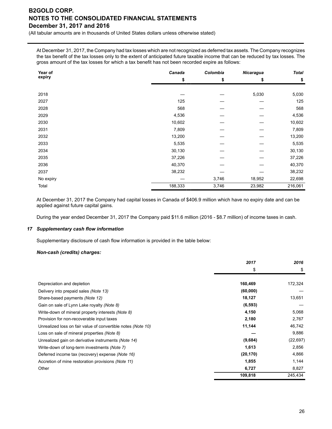(All tabular amounts are in thousands of United States dollars unless otherwise stated)

At December 31, 2017, the Company had tax losses which are not recognized as deferred tax assets. The Company recognizes the tax benefit of the tax losses only to the extent of anticipated future taxable income that can be reduced by tax losses. The gross amount of the tax losses for which a tax benefit has not been recorded expire as follows:

| Year of   | Canada<br>Colombia |       | Nicaragua | <b>Total</b> |
|-----------|--------------------|-------|-----------|--------------|
| expiry    | \$                 | \$    | \$        | \$           |
|           |                    |       |           |              |
| 2018      |                    |       | 5,030     | 5,030        |
| 2027      | 125                |       |           | 125          |
| 2028      | 568                |       |           | 568          |
| 2029      | 4,536              |       |           | 4,536        |
| 2030      | 10,602             |       |           | 10,602       |
| 2031      | 7,809              |       |           | 7,809        |
| 2032      | 13,200             |       |           | 13,200       |
| 2033      | 5,535              |       |           | 5,535        |
| 2034      | 30,130             |       |           | 30,130       |
| 2035      | 37,226             |       |           | 37,226       |
| 2036      | 40,370             |       |           | 40,370       |
| 2037      | 38,232             |       |           | 38,232       |
| No expiry |                    | 3,746 | 18,952    | 22,698       |
| Total     | 188,333            | 3,746 | 23,982    | 216,061      |

At December 31, 2017 the Company had capital losses in Canada of \$406.9 million which have no expiry date and can be applied against future capital gains.

During the year ended December 31, 2017 the Company paid \$11.6 million (2016 - \$8.7 million) of income taxes in cash.

## *17 Supplementary cash flow information*

Supplementary disclosure of cash flow information is provided in the table below:

## *Non-cash (credits) charges:*

|                                                              | 2017      | 2016      |
|--------------------------------------------------------------|-----------|-----------|
|                                                              | \$        | \$        |
| Depreciation and depletion                                   | 160,469   | 172,324   |
| Delivery into prepaid sales (Note 13)                        | (60,000)  |           |
| Share-based payments (Note 12)                               | 18,127    | 13,651    |
| Gain on sale of Lynn Lake royalty (Note 8)                   | (6, 593)  |           |
| Write-down of mineral property interests (Note 8)            | 4,150     | 5,068     |
| Provision for non-recoverable input taxes                    | 2,180     | 2,767     |
| Unrealized loss on fair value of convertible notes (Note 10) | 11,144    | 46,742    |
| Loss on sale of mineral properties (Note 8)                  |           | 9,886     |
| Unrealized gain on derivative instruments (Note 14)          | (9,684)   | (22, 697) |
| Write-down of long-term investments (Note 7)                 | 1,613     | 2,856     |
| Deferred income tax (recovery) expense (Note 16)             | (20, 170) | 4,866     |
| Accretion of mine restoration provisions (Note 11)           | 1,855     | 1,144     |
| Other                                                        | 6,727     | 8,827     |
|                                                              | 109,818   | 245,434   |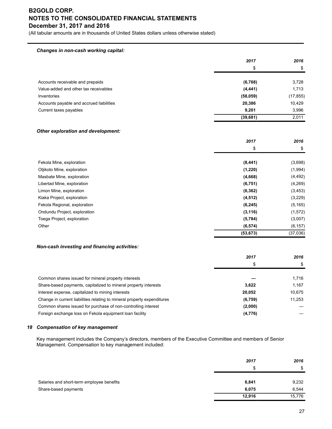(All tabular amounts are in thousands of United States dollars unless otherwise stated)

## *Changes in non-cash working capital:*

|                                          | 2017      | 2016      |
|------------------------------------------|-----------|-----------|
|                                          | \$        | \$        |
| Accounts receivable and prepaids         | (6,768)   | 3,728     |
| Value-added and other tax receivables    | (4, 441)  | 1,713     |
| Inventories                              | (58,059)  | (17, 855) |
| Accounts payable and accrued liabilities | 20,386    | 10,429    |
| Current taxes payables                   | 9,201     | 3,996     |
|                                          | (39, 681) | 2,011     |

## *Other exploration and development:*

|                              | 2017      | 2016     |
|------------------------------|-----------|----------|
|                              | \$        | \$       |
|                              |           |          |
| Fekola Mine, exploration     | (8, 441)  | (3,698)  |
| Otjikoto Mine, exploration   | (1, 220)  | (1,994)  |
| Masbate Mine, exploration    | (4,668)   | (4, 492) |
| Libertad Mine, exploration   | (6, 751)  | (4,269)  |
| Limon Mine, exploration      | (6, 362)  | (3, 453) |
| Kiaka Project, exploration   | (4,512)   | (3,229)  |
| Fekola Regional, exploration | (6, 245)  | (5, 165) |
| Ondundu Project, exploration | (3, 116)  | (1,572)  |
| Toega Project, exploration   | (5,784)   | (3,007)  |
| Other                        | (6, 574)  | (6, 157) |
|                              | (53, 673) | (37,036) |

## *Non-cash investing and financing activities:*

|                                                                         | 2017     | 2016   |  |
|-------------------------------------------------------------------------|----------|--------|--|
|                                                                         | \$       | \$     |  |
|                                                                         |          |        |  |
| Common shares issued for mineral property interests                     |          | 1.716  |  |
| Share-based payments, capitalized to mineral property interests         | 3,622    | 1.167  |  |
| Interest expense, capitalized to mining interests                       | 20,052   | 10.675 |  |
| Change in current liabilities relating to mineral property expenditures | (6, 759) | 11.253 |  |
| Common shares issued for purchase of non-controlling interest           | (2,000)  |        |  |
| Foreign exchange loss on Fekola equipment loan facility                 | (4,776)  |        |  |

## *18 Compensation of key management*

Key management includes the Company's directors, members of the Executive Committee and members of Senior Management. Compensation to key management included:

|                                           | 2017<br>\$ | 2016<br>\$ |
|-------------------------------------------|------------|------------|
| Salaries and short-term employee benefits | 6,841      | 9,232      |
| Share-based payments                      | 6,075      | 6,544      |
|                                           | 12,916     | 15,776     |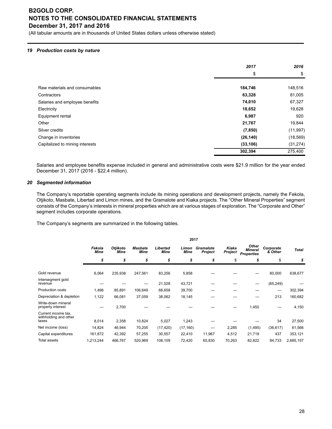(All tabular amounts are in thousands of United States dollars unless otherwise stated)

## *19 Production costs by nature*

|                                 | 2017      | 2016      |
|---------------------------------|-----------|-----------|
|                                 | \$        | \$        |
|                                 |           |           |
| Raw materials and consumables   | 184,746   | 148,516   |
| Contractors                     | 63,328    | 81,005    |
| Salaries and employee benefits  | 74,010    | 67,327    |
| Electricity                     | 18,652    | 19,628    |
| Equipment rental                | 6,987     | 920       |
| Other                           | 21,767    | 19,844    |
| Silver credits                  | (7, 850)  | (11, 997) |
| Change in inventories           | (26, 140) | (18, 569) |
| Capitalized to mining interests | (33, 106) | (31, 274) |
|                                 | 302,394   | 275,400   |

Salaries and employee benefits expense included in general and administrative costs were \$21.9 million for the year ended December 31, 2017 (2016 - \$22.4 million).

## *20 Segmented information*

The Company's reportable operating segments include its mining operations and development projects, namely the Fekola, Otjikoto, Masbate, Libertad and Limon mines, and the Gramalote and Kiaka projects. The "Other Mineral Properties" segment consists of the Company's interests in mineral properties which are at various stages of exploration. The "Corporate and Other" segment includes corporate operations.

The Company's segments are summarized in the following tables.

|                                                       | 2017           |                  |                        |                  |                      |                             |                  |                                                     |                      |              |
|-------------------------------------------------------|----------------|------------------|------------------------|------------------|----------------------|-----------------------------|------------------|-----------------------------------------------------|----------------------|--------------|
|                                                       | Fekola<br>Mine | Otjikoto<br>Mine | <b>Masbate</b><br>Mine | Libertad<br>Mine | Limon<br><b>Mine</b> | <b>Gramalote</b><br>Project | Kiaka<br>Project | <b>Other</b><br><b>Mineral</b><br><b>Properties</b> | Corporate<br>& Other | <b>Total</b> |
|                                                       | \$             | \$               | \$                     | \$               | \$                   | \$                          | \$               | \$                                                  | \$                   | \$           |
| Gold revenue                                          | 6,064          | 235,938          | 247,561                | 83,256           | 5,858                |                             |                  |                                                     | 60,000               | 638,677      |
| Intersegment gold<br>revenue                          |                |                  |                        | 21,528           | 43,721               |                             |                  |                                                     | (65, 249)            |              |
| Production costs                                      | 1,496          | 85,891           | 106,649                | 68,658           | 39,700               |                             |                  |                                                     |                      | 302,394      |
| Depreciation & depletion                              | 1,122          | 66,081           | 37,059                 | 38,062           | 18,145               |                             |                  |                                                     | 213                  | 160,682      |
| Write-down mineral<br>property interest               |                | 2,700            |                        |                  |                      |                             |                  | 1,450                                               |                      | 4,150        |
| Current income tax,<br>withholding and other<br>taxes | 8,014          | 2,358            | 10,824                 | 5,027            | 1,243                |                             |                  |                                                     | 34                   | 27,500       |
| Net income (loss)                                     | 14,824         | 46,944           | 70,205                 | (17, 420)        | (17, 160)            |                             | 2,285            | (1,495)                                             | (36, 617)            | 61,566       |
| Capital expenditures                                  | 161,872        | 42,392           | 57,255                 | 30,557           | 22,410               | 11,967                      | 4,512            | 21,719                                              | 437                  | 353,121      |
| Total assets                                          | 1,213,244      | 466,767          | 520,969                | 108,109          | 72,420               | 65,830                      | 70,263           | 82,822                                              | 84,733               | 2,685,157    |
|                                                       |                |                  |                        |                  |                      |                             |                  |                                                     |                      |              |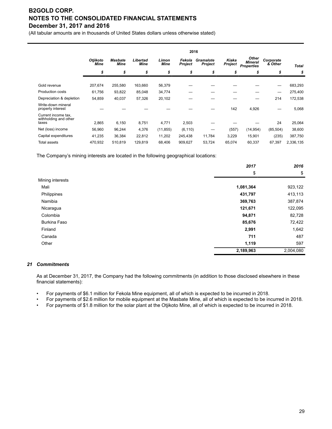(All tabular amounts are in thousands of United States dollars unless otherwise stated)

|                                                       | 2016                    |                        |                  |               |                          |                                    |                         |                                                     |                      |           |  |
|-------------------------------------------------------|-------------------------|------------------------|------------------|---------------|--------------------------|------------------------------------|-------------------------|-----------------------------------------------------|----------------------|-----------|--|
|                                                       | <b>Otjikoto</b><br>Mine | <b>Masbate</b><br>Mine | Libertad<br>Mine | Limon<br>Mine | Fekola<br><b>Project</b> | <b>Gramalote</b><br><b>Project</b> | Kiaka<br><b>Project</b> | <b>Other</b><br><b>Mineral</b><br><b>Properties</b> | Corporate<br>& Other | Total     |  |
|                                                       | \$                      | \$                     | \$               | \$            | \$                       | \$                                 | \$                      | \$                                                  | \$                   | \$        |  |
| Gold revenue                                          | 207,674                 | 255,580                | 163,660          | 56,379        |                          |                                    |                         |                                                     |                      | 683,293   |  |
| <b>Production costs</b>                               | 61,756                  | 93,822                 | 85,048           | 34,774        |                          |                                    |                         |                                                     |                      | 275,400   |  |
| Depreciation & depletion                              | 54,859                  | 40,037                 | 57,326           | 20,102        |                          |                                    |                         |                                                     | 214                  | 172,538   |  |
| Write-down mineral<br>property interest               |                         |                        |                  |               |                          |                                    | 142                     | 4,926                                               |                      | 5,068     |  |
| Current income tax,<br>withholding and other<br>taxes | 2,865                   | 6,150                  | 8,751            | 4,771         | 2,503                    |                                    |                         |                                                     | 24                   | 25,064    |  |
| Net (loss) income                                     | 56,960                  | 96,244                 | 4,376            | (11, 855)     | (6, 110)                 |                                    | (557)                   | (14, 954)                                           | (85, 504)            | 38,600    |  |
| Capital expenditures                                  | 41,235                  | 36,384                 | 22,812           | 11,202        | 245,438                  | 11,784                             | 3,229                   | 15,901                                              | (235)                | 387,750   |  |
| Total assets                                          | 470,932                 | 510,819                | 129,819          | 68,406        | 909,627                  | 53,724                             | 65,074                  | 60,337                                              | 67,397               | 2,336,135 |  |

The Company's mining interests are located in the following geographical locations:

|                  | 2017      | 2016      |
|------------------|-----------|-----------|
|                  | \$        | \$        |
| Mining interests |           |           |
| Mali             | 1,081,364 | 923,122   |
| Philippines      | 431,797   | 413,113   |
| Namibia          | 369,763   | 387,874   |
| Nicaragua        | 121,671   | 122,095   |
| Colombia         | 94,871    | 82,728    |
| Burkina Faso     | 85,676    | 72,422    |
| Finland          | 2,991     | 1,642     |
| Canada           | 711       | 487       |
| Other            | 1,119     | 597       |
|                  | 2,189,963 | 2,004,080 |

## *21 Commitments*

As at December 31, 2017, the Company had the following commitments (in addition to those disclosed elsewhere in these financial statements):

- For payments of \$6.1 million for Fekola Mine equipment, all of which is expected to be incurred in 2018.
- For payments of \$2.6 million for mobile equipment at the Masbate Mine, all of which is expected to be incurred in 2018.
- For payments of \$1.8 million for the solar plant at the Otjikoto Mine, all of which is expected to be incurred in 2018.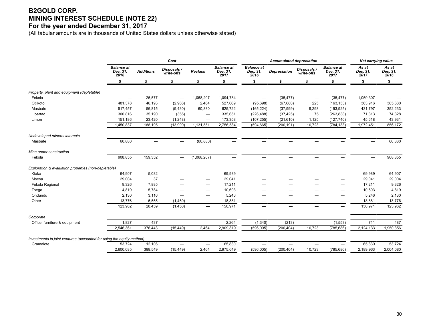## **B2GOLD CORP. MINING INTEREST SCHEDULE (NOTE 22) For the year ended December 31, 2017**

(All tabular amounts are in thousands of United States dollars unless otherwise stated)

|                                                                       | Cost                                  |                  |                           |                                |                                       |                                       | <b>Accumulated depreciation</b> | Net carrying value        |                                       |                           |                           |
|-----------------------------------------------------------------------|---------------------------------------|------------------|---------------------------|--------------------------------|---------------------------------------|---------------------------------------|---------------------------------|---------------------------|---------------------------------------|---------------------------|---------------------------|
|                                                                       | <b>Balance</b> at<br>Dec. 31,<br>2016 | <b>Additions</b> | Disposals /<br>write-offs | <b>Reclass</b>                 | <b>Balance at</b><br>Dec. 31,<br>2017 | <b>Balance at</b><br>Dec. 31,<br>2016 | <b>Depreciation</b>             | Disposals /<br>write-offs | <b>Balance at</b><br>Dec. 31,<br>2017 | As at<br>Dec. 31,<br>2017 | As at<br>Dec. 31,<br>2016 |
|                                                                       | \$                                    | \$               | \$                        | \$                             | \$                                    | \$                                    | \$                              | \$                        | \$                                    | \$                        | \$                        |
| Property, plant and equipment (depletable)                            |                                       |                  |                           |                                |                                       |                                       |                                 |                           |                                       |                           |                           |
| Fekola                                                                |                                       | 26,577           |                           | 1,068,207                      | 1,094,784                             |                                       | (35, 477)                       |                           | (35, 477)                             | 1,059,307                 |                           |
| Otjikoto                                                              | 481,378                               | 46,193           | (2,966)                   | 2,464                          | 527,069                               | (95, 698)                             | (67,680)                        | 225                       | (163, 153)                            | 363,916                   | 385,680                   |
| Masbate                                                               | 517,457                               | 56,815           | (9,430)                   | 60,880                         | 625,722                               | (165, 224)                            | (37,999)                        | 9,298                     | (193, 925)                            | 431,797                   | 352,233                   |
| Libertad                                                              | 300,816                               | 35,190           | (355)                     | —                              | 335,651                               | (226, 488)                            | (37, 425)                       | 75                        | (263, 838)                            | 71,813                    | 74,328                    |
| Limon                                                                 | 151,186                               | 23,420           | (1,248)                   | $\qquad \qquad \longleftarrow$ | 173,358                               | (107, 255)                            | (21,610)                        | 1,125                     | (127, 740)                            | 45,618                    | 43,931                    |
|                                                                       | 1,450,837                             | 188,195          | (13,999)                  | 1,131,551                      | 2,756,584                             | (594, 665)                            | (200, 191)                      | 10,723                    | (784, 133)                            | 1,972,451                 | 856,172                   |
| Undeveloped mineral interests                                         |                                       |                  |                           |                                |                                       |                                       |                                 |                           |                                       |                           |                           |
| Masbate                                                               | 60,880                                |                  | $\overline{\phantom{0}}$  | (60, 880)                      |                                       | $\overline{\phantom{0}}$              | $\overline{\phantom{0}}$        |                           |                                       |                           | 60,880                    |
| Mine under construction                                               |                                       |                  |                           |                                |                                       |                                       |                                 |                           |                                       |                           |                           |
| Fekola                                                                | 908,855                               | 159,352          | $\overline{\phantom{m}}$  | (1,068,207)                    |                                       | $\qquad \qquad -$                     | $\overline{\phantom{0}}$        |                           |                                       | —                         | 908,855                   |
| Exploration & evaluation properties (non-depletable)                  |                                       |                  |                           |                                |                                       |                                       |                                 |                           |                                       |                           |                           |
| Kiaka                                                                 | 64,907                                | 5,082            |                           |                                | 69,989                                |                                       |                                 |                           |                                       | 69,989                    | 64,907                    |
| Mocoa                                                                 | 29,004                                | 37               |                           |                                | 29,041                                |                                       |                                 |                           |                                       | 29,041                    | 29,004                    |
| Fekola Regional                                                       | 9,326                                 | 7,885            |                           |                                | 17,211                                |                                       |                                 |                           |                                       | 17,211                    | 9,326                     |
| Toega                                                                 | 4,819                                 | 5,784            |                           |                                | 10,603                                |                                       |                                 |                           |                                       | 10,603                    | 4,819                     |
| Ondundu                                                               | 2,130                                 | 3,116            |                           | -                              | 5,246                                 |                                       |                                 |                           |                                       | 5,246                     | 2,130                     |
| Other                                                                 | 13,776                                | 6,555            | (1,450)                   | —                              | 18,881                                |                                       | –                               |                           |                                       | 18,881                    | 13,776                    |
|                                                                       | 123,962                               | 28,459           | (1,450)                   | $\qquad \qquad -$              | 150,971                               | $\overline{\phantom{0}}$              | $\qquad \qquad -$               | $\overline{\phantom{0}}$  | $\overline{\phantom{0}}$              | 150,971                   | 123,962                   |
| Corporate                                                             |                                       |                  |                           |                                |                                       |                                       |                                 |                           |                                       |                           |                           |
| Office, furniture & equipment                                         | 1,827                                 | 437              | $\overline{\phantom{m}}$  | $\equiv$                       | 2,264                                 | (1, 340)                              | (213)                           | $\qquad \qquad -$         | (1, 553)                              | 711                       | 487                       |
|                                                                       | 2,546,361                             | 376,443          | (15, 449)                 | 2,464                          | 2,909,819                             | (596,005)                             | (200, 404)                      | 10,723                    | (785, 686)                            | 2,124,133                 | 1,950,356                 |
| Investments in joint ventures (accounted for using the equity method) |                                       |                  |                           |                                |                                       |                                       |                                 |                           |                                       |                           |                           |
| Gramalote                                                             | 53,724                                | 12,106           |                           | $\overline{\phantom{0}}$       | 65,830                                |                                       | —                               |                           |                                       | 65,830                    | 53,724                    |
|                                                                       | 2.600.085                             | 388,549          | (15, 449)                 | 2.464                          | 2,975,649                             | (596,005)                             | (200, 404)                      | 10,723                    | (785, 686)                            | 2,189,963                 | 2,004,080                 |